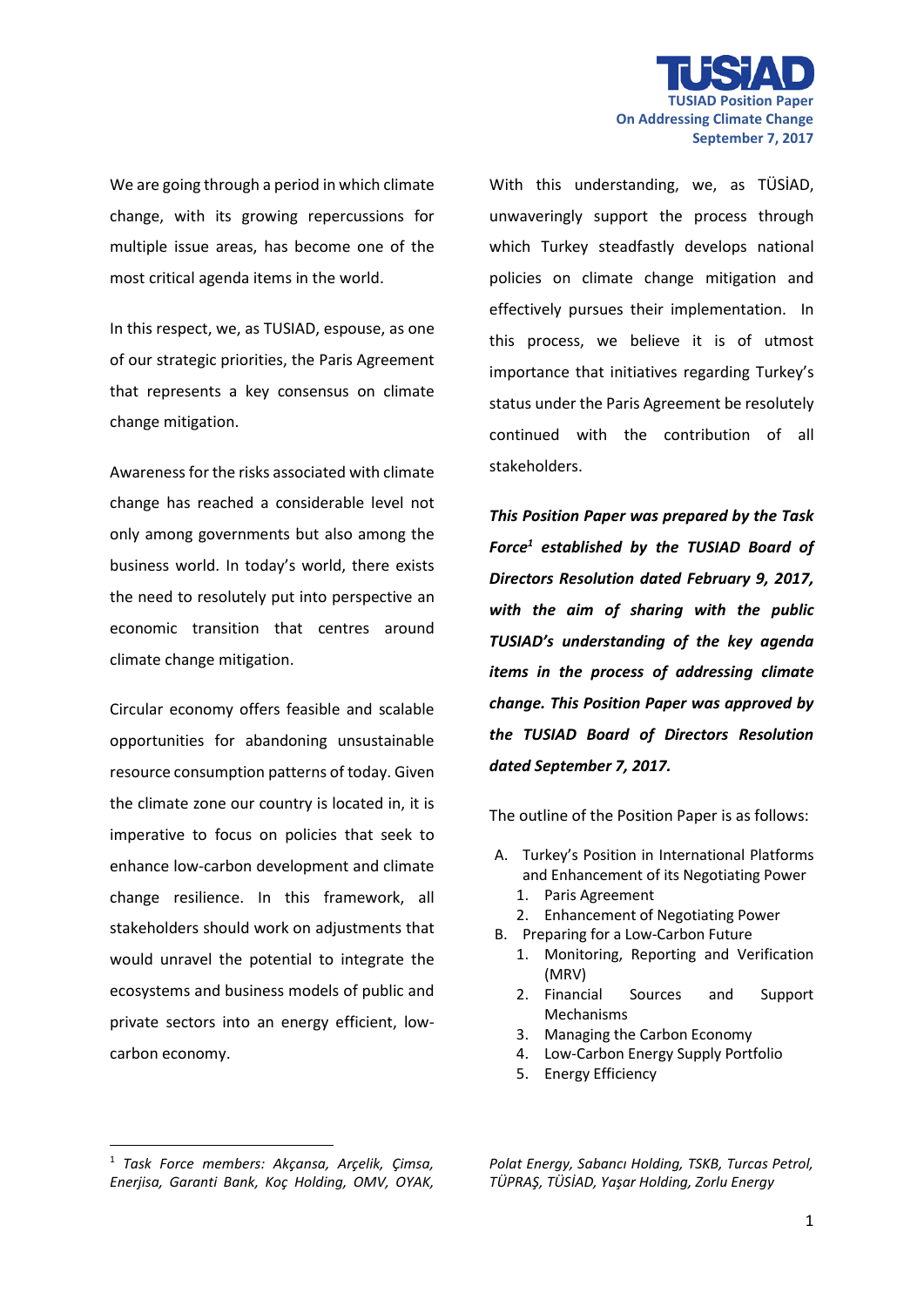

We are going through a period in which climate change, with its growing repercussions for multiple issue areas, has become one of the most critical agenda items in the world.

In this respect, we, as TUSIAD, espouse, as one of our strategic priorities, the Paris Agreement that represents a key consensus on climate change mitigation.

Awareness for the risks associated with climate change has reached a considerable level not only among governments but also among the business world. In today's world, there exists the need to resolutely put into perspective an economic transition that centres around climate change mitigation.

Circular economy offers feasible and scalable opportunities for abandoning unsustainable resource consumption patterns of today. Given the climate zone our country is located in, it is imperative to focus on policies that seek to enhance low-carbon development and climate change resilience. In this framework, all stakeholders should work on adjustments that would unravel the potential to integrate the ecosystems and business models of public and private sectors into an energy efficient, lowcarbon economy.

With this understanding, we, as TÜSİAD, unwaveringly support the process through which Turkey steadfastly develops national policies on climate change mitigation and effectively pursues their implementation. In this process, we believe it is of utmost importance that initiatives regarding Turkey's status under the Paris Agreement be resolutely continued with the contribution of all stakeholders.

*This Position Paper was prepared by the Task Force<sup>1</sup> established by the TUSIAD Board of Directors Resolution dated February 9, 2017, with the aim of sharing with the public TUSIAD's understanding of the key agenda items in the process of addressing climate change. This Position Paper was approved by the TUSIAD Board of Directors Resolution dated September 7, 2017.*

The outline of the Position Paper is as follows:

- A. Turkey's Position in International Platforms and Enhancement of its Negotiating Power
	- 1. Paris Agreement
	- 2. Enhancement of Negotiating Power
- B. Preparing for a Low-Carbon Future
	- 1. Monitoring, Reporting and Verification (MRV)
	- 2. Financial Sources and Support Mechanisms
	- 3. Managing the Carbon Economy
	- 4. Low-Carbon Energy Supply Portfolio
	- 5. Energy Efficiency

**.** 

<sup>1</sup> *Task Force members: Akçansa, Arçelik, Çimsa, Enerjisa, Garanti Bank, Koç Holding, OMV, OYAK,* 

*Polat Energy, Sabancı Holding, TSKB, Turcas Petrol, TÜPRAŞ, TÜSİAD, Yaşar Holding, Zorlu Energy*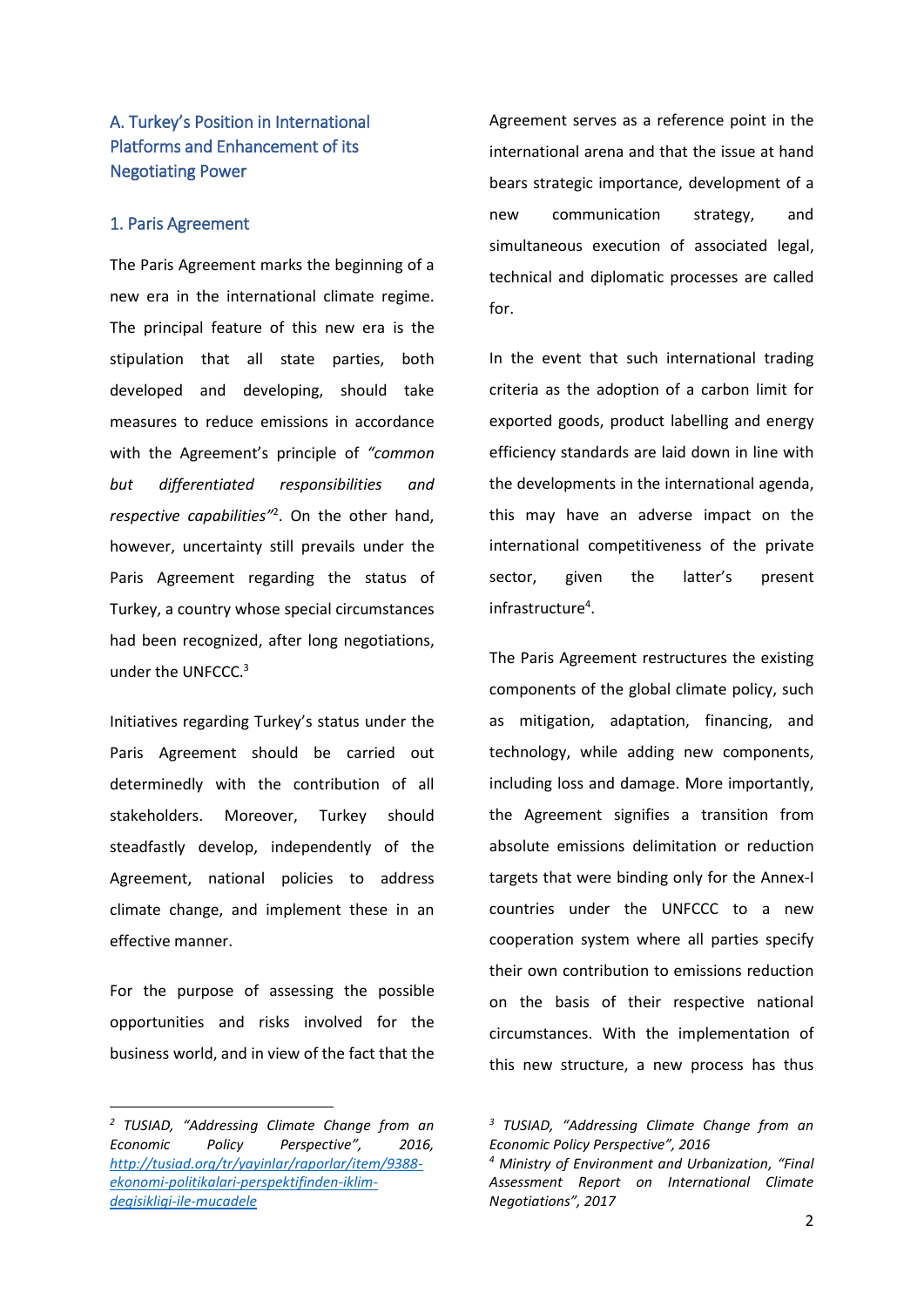# A. Turkey's Position in International Platforms and Enhancement of its Negotiating Power

### 1. Paris Agreement

The Paris Agreement marks the beginning of a new era in the international climate regime. The principal feature of this new era is the stipulation that all state parties, both developed and developing, should take measures to reduce emissions in accordance with the Agreement's principle of *"common but differentiated responsibilities and respective capabilities"*<sup>2</sup> . On the other hand, however, uncertainty still prevails under the Paris Agreement regarding the status of Turkey, a country whose special circumstances had been recognized, after long negotiations, under the UNFCCC. 3

Initiatives regarding Turkey's status under the Paris Agreement should be carried out determinedly with the contribution of all stakeholders. Moreover, Turkey should steadfastly develop, independently of the Agreement, national policies to address climate change, and implement these in an effective manner.

For the purpose of assessing the possible opportunities and risks involved for the business world, and in view of the fact that the

**.** 

Agreement serves as a reference point in the international arena and that the issue at hand bears strategic importance, development of a new communication strategy, and simultaneous execution of associated legal, technical and diplomatic processes are called for.

In the event that such international trading criteria as the adoption of a carbon limit for exported goods, product labelling and energy efficiency standards are laid down in line with the developments in the international agenda, this may have an adverse impact on the international competitiveness of the private sector, given the latter's present infrastructure<sup>4</sup>.

The Paris Agreement restructures the existing components of the global climate policy, such as mitigation, adaptation, financing, and technology, while adding new components, including loss and damage. More importantly, the Agreement signifies a transition from absolute emissions delimitation or reduction targets that were binding only for the Annex-I countries under the UNFCCC to a new cooperation system where all parties specify their own contribution to emissions reduction on the basis of their respective national circumstances. With the implementation of this new structure, a new process has thus

*<sup>2</sup> TUSIAD, "Addressing Climate Change from an Economic Policy Perspective", 2016, [http://tusiad.org/tr/yayinlar/raporlar/item/9388](http://tusiad.org/tr/yayinlar/raporlar/item/9388-ekonomi-politikalari-perspektifinden-iklim-degisikligi-ile-mucadele) [ekonomi-politikalari-perspektifinden-iklim](http://tusiad.org/tr/yayinlar/raporlar/item/9388-ekonomi-politikalari-perspektifinden-iklim-degisikligi-ile-mucadele)[degisikligi-ile-mucadele](http://tusiad.org/tr/yayinlar/raporlar/item/9388-ekonomi-politikalari-perspektifinden-iklim-degisikligi-ile-mucadele)*

*<sup>3</sup> TUSIAD, "Addressing Climate Change from an Economic Policy Perspective", 2016*

*<sup>4</sup> Ministry of Environment and Urbanization, "Final Assessment Report on International Climate Negotiations", 2017*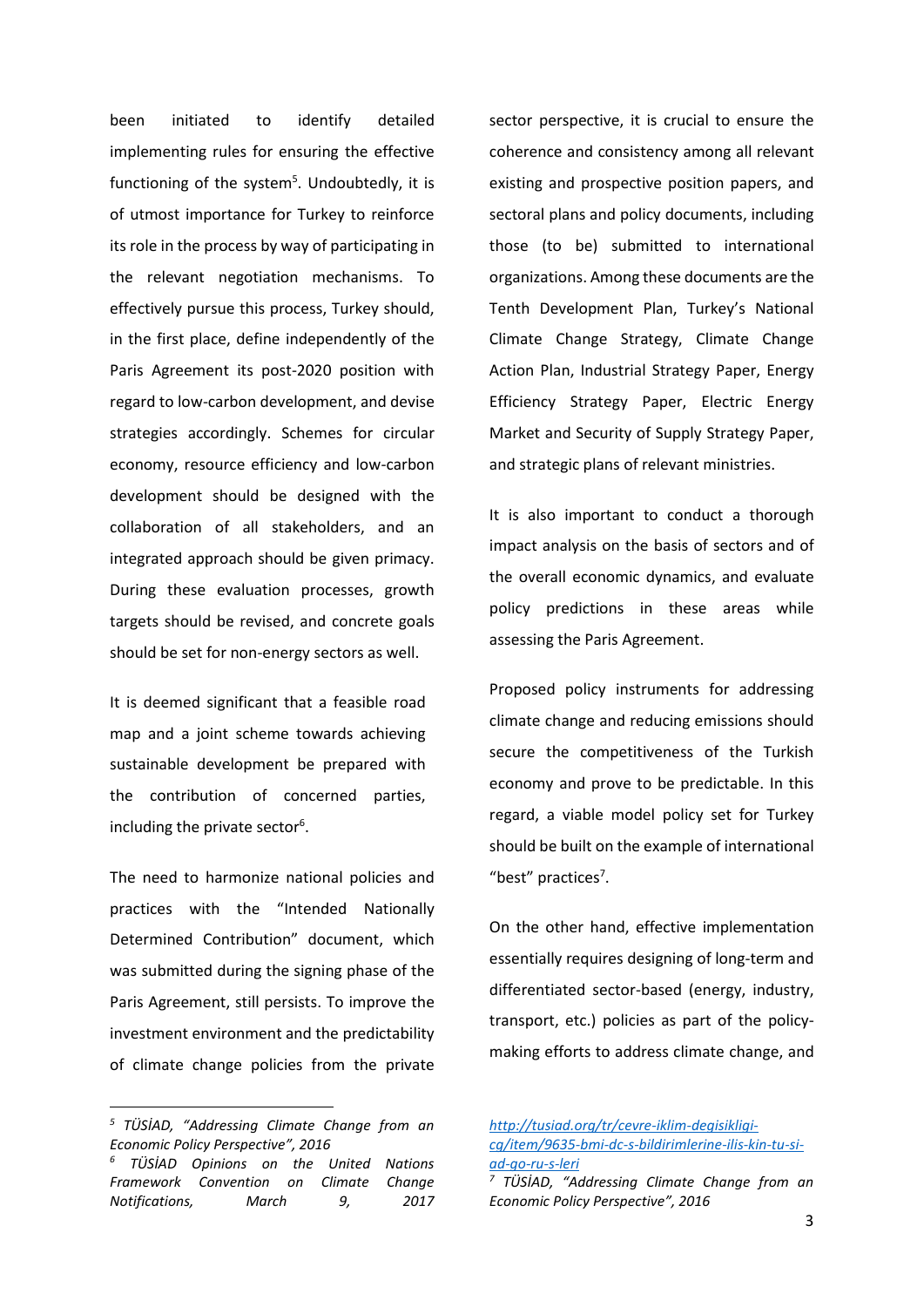been initiated to identify detailed implementing rules for ensuring the effective functioning of the system<sup>5</sup>. Undoubtedly, it is of utmost importance for Turkey to reinforce its role in the process by way of participating in the relevant negotiation mechanisms. To effectively pursue this process, Turkey should, in the first place, define independently of the Paris Agreement its post-2020 position with regard to low-carbon development, and devise strategies accordingly. Schemes for circular economy, resource efficiency and low-carbon development should be designed with the collaboration of all stakeholders, and an integrated approach should be given primacy. During these evaluation processes, growth targets should be revised, and concrete goals should be set for non-energy sectors as well.

It is deemed significant that a feasible road map and a joint scheme towards achieving sustainable development be prepared with the contribution of concerned parties, including the private sector<sup>6</sup>.

The need to harmonize national policies and practices with the "Intended Nationally Determined Contribution" document, which was submitted during the signing phase of the Paris Agreement, still persists. To improve the investment environment and the predictability of climate change policies from the private

**.** 

sector perspective, it is crucial to ensure the coherence and consistency among all relevant existing and prospective position papers, and sectoral plans and policy documents, including those (to be) submitted to international organizations. Among these documents are the Tenth Development Plan, Turkey's National Climate Change Strategy, Climate Change Action Plan, Industrial Strategy Paper, Energy Efficiency Strategy Paper, Electric Energy Market and Security of Supply Strategy Paper, and strategic plans of relevant ministries.

It is also important to conduct a thorough impact analysis on the basis of sectors and of the overall economic dynamics, and evaluate policy predictions in these areas while assessing the Paris Agreement.

Proposed policy instruments for addressing climate change and reducing emissions should secure the competitiveness of the Turkish economy and prove to be predictable. In this regard, a viable model policy set for Turkey should be built on the example of international "best" practices<sup>7</sup>.

On the other hand, effective implementation essentially requires designing of long-term and differentiated sector-based (energy, industry, transport, etc.) policies as part of the policymaking efforts to address climate change, and

*<sup>5</sup> TÜSİAD, "Addressing Climate Change from an Economic Policy Perspective", 2016*

*<sup>6</sup> TÜSİAD Opinions on the United Nations Framework Convention on Climate Change Notifications, March 9, 2017* 

*[http://tusiad.org/tr/cevre-iklim-degisikligi](http://tusiad.org/tr/cevre-iklim-degisikligi-cg/item/9635-bmi-dc-s-bildirimlerine-ilis-kin-tu-si-ad-go-ru-s-leri)[cg/item/9635-bmi-dc-s-bildirimlerine-ilis-kin-tu-si](http://tusiad.org/tr/cevre-iklim-degisikligi-cg/item/9635-bmi-dc-s-bildirimlerine-ilis-kin-tu-si-ad-go-ru-s-leri)[ad-go-ru-s-leri](http://tusiad.org/tr/cevre-iklim-degisikligi-cg/item/9635-bmi-dc-s-bildirimlerine-ilis-kin-tu-si-ad-go-ru-s-leri)*

*<sup>7</sup> TÜSİAD, "Addressing Climate Change from an Economic Policy Perspective", 2016*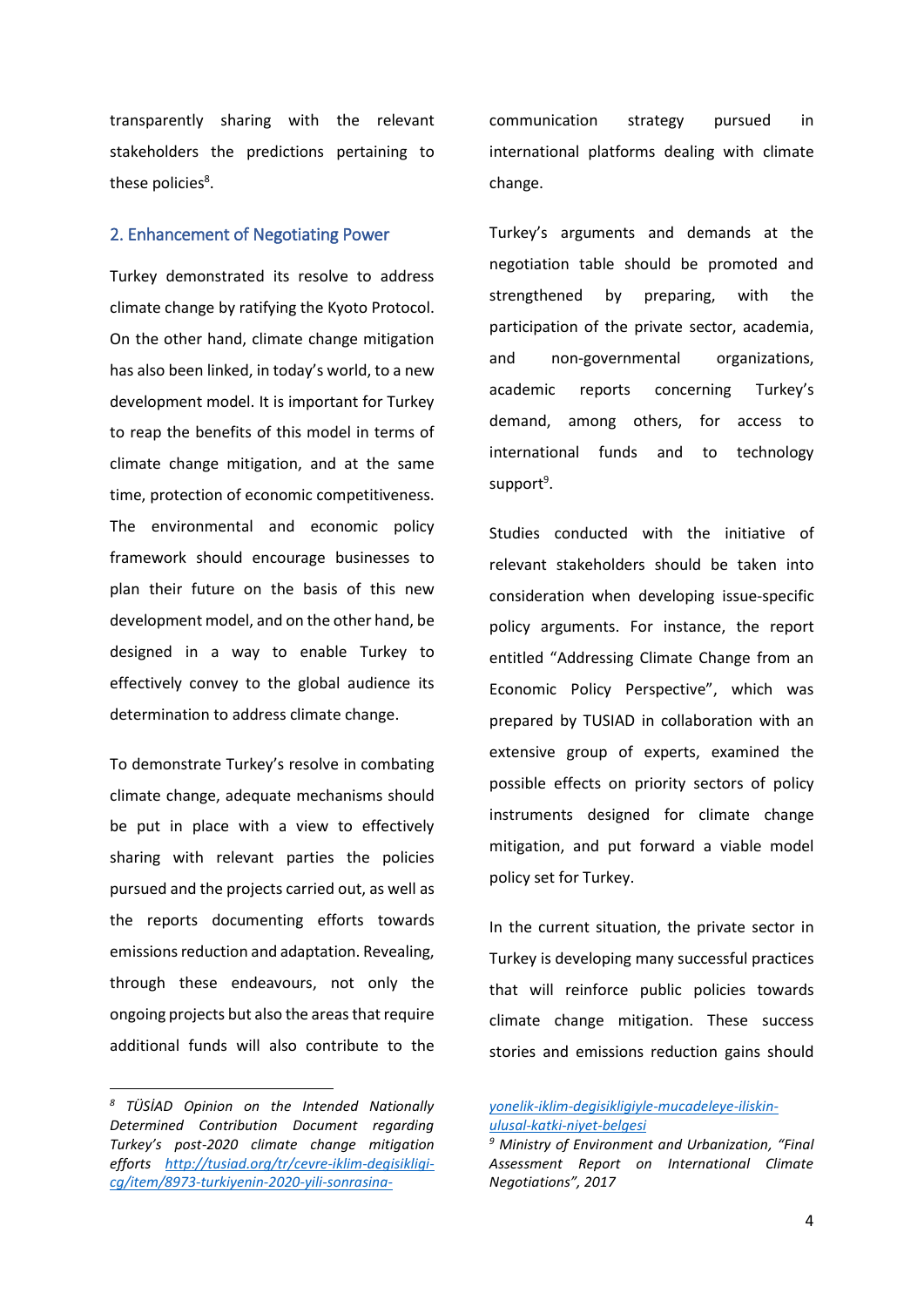transparently sharing with the relevant stakeholders the predictions pertaining to these policies<sup>8</sup>.

#### 2. Enhancement of Negotiating Power

Turkey demonstrated its resolve to address climate change by ratifying the Kyoto Protocol. On the other hand, climate change mitigation has also been linked, in today's world, to a new development model. It is important for Turkey to reap the benefits of this model in terms of climate change mitigation, and at the same time, protection of economic competitiveness. The environmental and economic policy framework should encourage businesses to plan their future on the basis of this new development model, and on the other hand, be designed in a way to enable Turkey to effectively convey to the global audience its determination to address climate change.

To demonstrate Turkey's resolve in combating climate change, adequate mechanisms should be put in place with a view to effectively sharing with relevant parties the policies pursued and the projects carried out, as well as the reports documenting efforts towards emissions reduction and adaptation. Revealing, through these endeavours, not only the ongoing projects but also the areas that require additional funds will also contribute to the

1

communication strategy pursued in international platforms dealing with climate change.

Turkey's arguments and demands at the negotiation table should be promoted and strengthened by preparing, with the participation of the private sector, academia, and non-governmental organizations, academic reports concerning Turkey's demand, among others, for access to international funds and to technology support<sup>9</sup>.

Studies conducted with the initiative of relevant stakeholders should be taken into consideration when developing issue-specific policy arguments. For instance, the report entitled "Addressing Climate Change from an Economic Policy Perspective", which was prepared by TUSIAD in collaboration with an extensive group of experts, examined the possible effects on priority sectors of policy instruments designed for climate change mitigation, and put forward a viable model policy set for Turkey.

In the current situation, the private sector in Turkey is developing many successful practices that will reinforce public policies towards climate change mitigation. These success stories and emissions reduction gains should

*<sup>8</sup> TÜSİAD Opinion on the Intended Nationally Determined Contribution Document regarding Turkey's post-2020 climate change mitigation efforts [http://tusiad.org/tr/cevre-iklim-degisikligi](http://tusiad.org/tr/cevre-iklim-degisikligi-cg/item/8973-turkiyenin-2020-yili-sonrasina-yonelik-iklim-degisikligiyle-mucadeleye-iliskin-ulusal-katki-niyet-belgesi)[cg/item/8973-turkiyenin-2020-yili-sonrasina-](http://tusiad.org/tr/cevre-iklim-degisikligi-cg/item/8973-turkiyenin-2020-yili-sonrasina-yonelik-iklim-degisikligiyle-mucadeleye-iliskin-ulusal-katki-niyet-belgesi)*

*[yonelik-iklim-degisikligiyle-mucadeleye-iliskin](http://tusiad.org/tr/cevre-iklim-degisikligi-cg/item/8973-turkiyenin-2020-yili-sonrasina-yonelik-iklim-degisikligiyle-mucadeleye-iliskin-ulusal-katki-niyet-belgesi)[ulusal-katki-niyet-belgesi](http://tusiad.org/tr/cevre-iklim-degisikligi-cg/item/8973-turkiyenin-2020-yili-sonrasina-yonelik-iklim-degisikligiyle-mucadeleye-iliskin-ulusal-katki-niyet-belgesi)*

*<sup>9</sup> Ministry of Environment and Urbanization, "Final Assessment Report on International Climate Negotiations", 2017*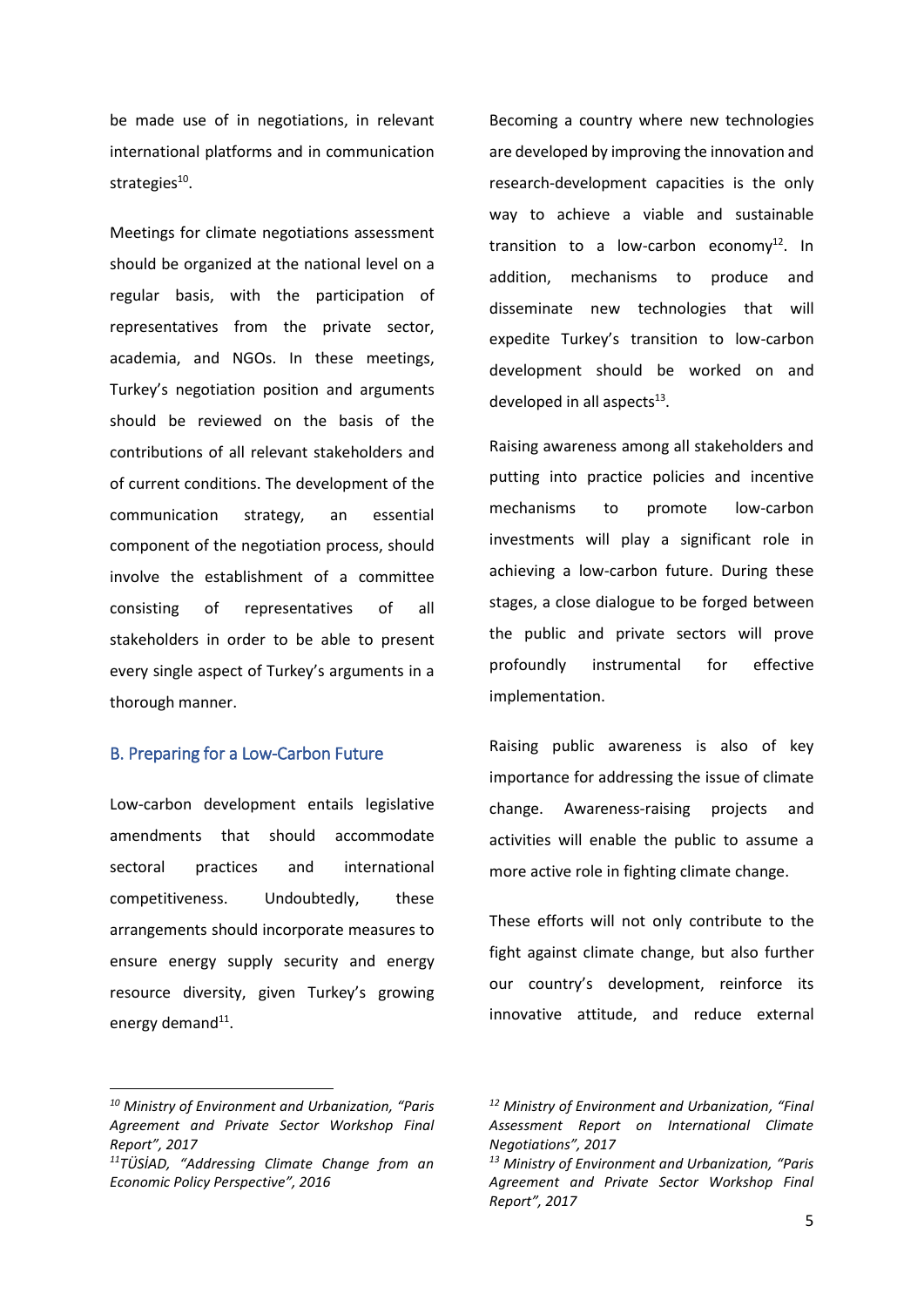be made use of in negotiations, in relevant international platforms and in communication strategies<sup>10</sup>.

Meetings for climate negotiations assessment should be organized at the national level on a regular basis, with the participation of representatives from the private sector, academia, and NGOs. In these meetings, Turkey's negotiation position and arguments should be reviewed on the basis of the contributions of all relevant stakeholders and of current conditions. The development of the communication strategy, an essential component of the negotiation process, should involve the establishment of a committee consisting of representatives of all stakeholders in order to be able to present every single aspect of Turkey's arguments in a thorough manner.

# B. Preparing for a Low-Carbon Future

Low-carbon development entails legislative amendments that should accommodate sectoral practices and international competitiveness. Undoubtedly, these arrangements should incorporate measures to ensure energy supply security and energy resource diversity, given Turkey's growing energy demand<sup>11</sup>.

1

Becoming a country where new technologies are developed by improving the innovation and research-development capacities is the only way to achieve a viable and sustainable transition to a low-carbon economy $^{12}$ . In addition, mechanisms to produce and disseminate new technologies that will expedite Turkey's transition to low-carbon development should be worked on and developed in all aspects $^{13}$ .

Raising awareness among all stakeholders and putting into practice policies and incentive mechanisms to promote low-carbon investments will play a significant role in achieving a low-carbon future. During these stages, a close dialogue to be forged between the public and private sectors will prove profoundly instrumental for effective implementation.

Raising public awareness is also of key importance for addressing the issue of climate change. Awareness-raising projects and activities will enable the public to assume a more active role in fighting climate change.

These efforts will not only contribute to the fight against climate change, but also further our country's development, reinforce its innovative attitude, and reduce external

*<sup>10</sup> Ministry of Environment and Urbanization, "Paris Agreement and Private Sector Workshop Final Report", 2017*

*<sup>11</sup>TÜSİAD, "Addressing Climate Change from an Economic Policy Perspective", 2016*

*<sup>12</sup> Ministry of Environment and Urbanization, "Final Assessment Report on International Climate Negotiations", 2017*

*<sup>13</sup> Ministry of Environment and Urbanization, "Paris Agreement and Private Sector Workshop Final Report", 2017*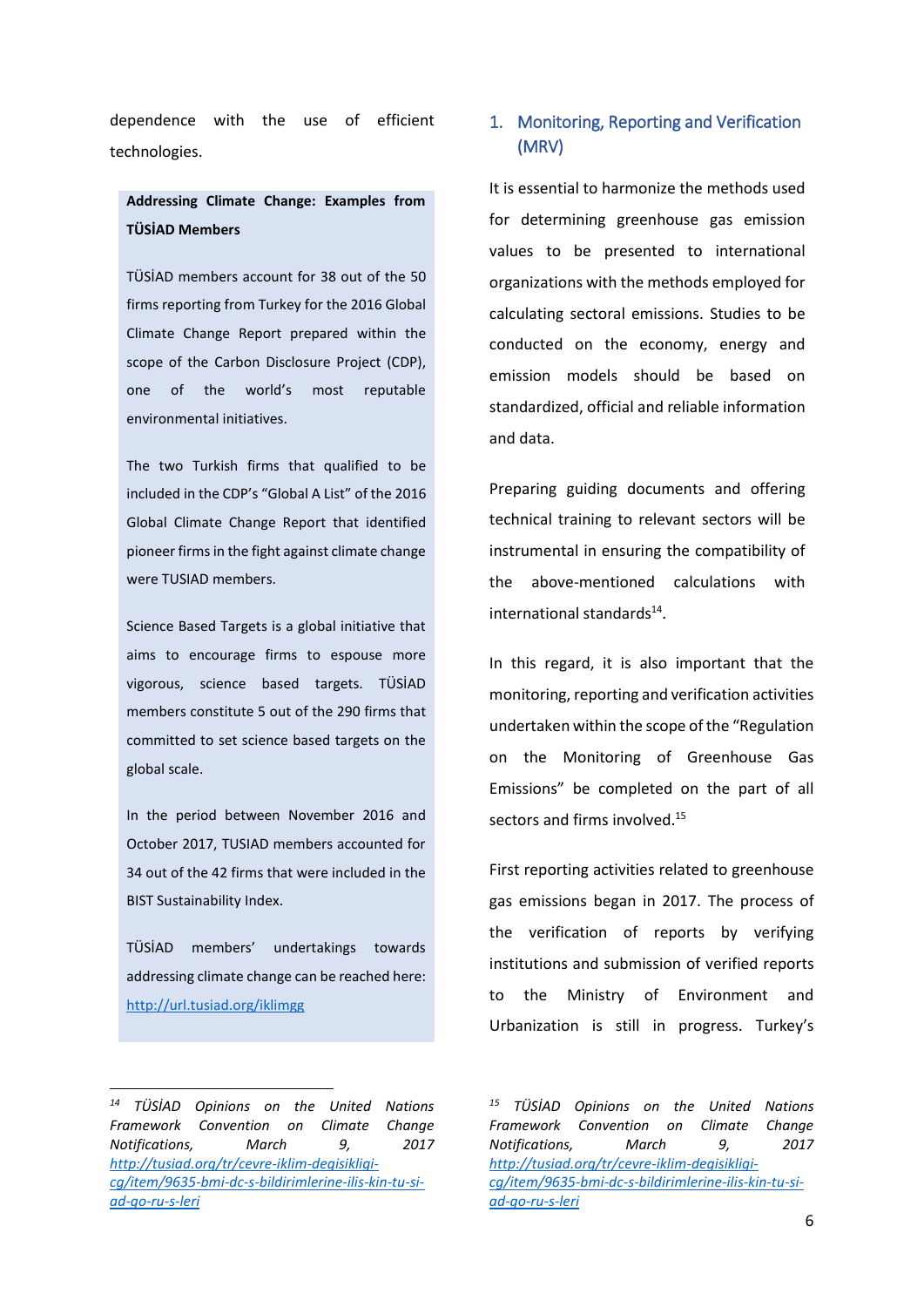dependence with the use of efficient technologies.

# **Addressing Climate Change: Examples from TÜSİAD Members**

TÜSİAD members account for 38 out of the 50 firms reporting from Turkey for the 2016 Global Climate Change Report prepared within the scope of the Carbon Disclosure Project (CDP), one of the world's most reputable environmental initiatives.

The two Turkish firms that qualified to be included in the CDP's "Global A List" of the 2016 Global Climate Change Report that identified pioneer firms in the fight against climate change were TUSIAD members.

Science Based Targets is a global initiative that aims to encourage firms to espouse more vigorous, science based targets. TÜSİAD members constitute 5 out of the 290 firms that committed to set science based targets on the global scale.

In the period between November 2016 and October 2017, TUSIAD members accounted for 34 out of the 42 firms that were included in the BIST Sustainability Index.

TÜSİAD members' undertakings towards addressing climate change can be reached here: <http://url.tusiad.org/iklimgg>

# 1. Monitoring, Reporting and Verification (MRV)

It is essential to harmonize the methods used for determining greenhouse gas emission values to be presented to international organizations with the methods employed for calculating sectoral emissions. Studies to be conducted on the economy, energy and emission models should be based on standardized, official and reliable information and data.

Preparing guiding documents and offering technical training to relevant sectors will be instrumental in ensuring the compatibility of the above-mentioned calculations with international standards<sup>14</sup>.

In this regard, it is also important that the monitoring, reporting and verification activities undertaken within the scope of the "Regulation on the Monitoring of Greenhouse Gas Emissions" be completed on the part of all sectors and firms involved.<sup>15</sup>

First reporting activities related to greenhouse gas emissions began in 2017. The process of the verification of reports by verifying institutions and submission of verified reports to the Ministry of Environment and Urbanization is still in progress. Turkey's

<sup>1</sup> *<sup>14</sup> TÜSİAD Opinions on the United Nations Framework Convention on Climate Change Notifications, March 9, 2017 [http://tusiad.org/tr/cevre-iklim-degisikligi](http://tusiad.org/tr/cevre-iklim-degisikligi-cg/item/9635-bmi-dc-s-bildirimlerine-ilis-kin-tu-si-ad-go-ru-s-leri)[cg/item/9635-bmi-dc-s-bildirimlerine-ilis-kin-tu-si](http://tusiad.org/tr/cevre-iklim-degisikligi-cg/item/9635-bmi-dc-s-bildirimlerine-ilis-kin-tu-si-ad-go-ru-s-leri)[ad-go-ru-s-leri](http://tusiad.org/tr/cevre-iklim-degisikligi-cg/item/9635-bmi-dc-s-bildirimlerine-ilis-kin-tu-si-ad-go-ru-s-leri)*

*<sup>15</sup> TÜSİAD Opinions on the United Nations Framework Convention on Climate Change Notifications, March 9, 2017 [http://tusiad.org/tr/cevre-iklim-degisikligi](http://tusiad.org/tr/cevre-iklim-degisikligi-cg/item/9635-bmi-dc-s-bildirimlerine-ilis-kin-tu-si-ad-go-ru-s-leri)[cg/item/9635-bmi-dc-s-bildirimlerine-ilis-kin-tu-si](http://tusiad.org/tr/cevre-iklim-degisikligi-cg/item/9635-bmi-dc-s-bildirimlerine-ilis-kin-tu-si-ad-go-ru-s-leri)[ad-go-ru-s-leri](http://tusiad.org/tr/cevre-iklim-degisikligi-cg/item/9635-bmi-dc-s-bildirimlerine-ilis-kin-tu-si-ad-go-ru-s-leri)*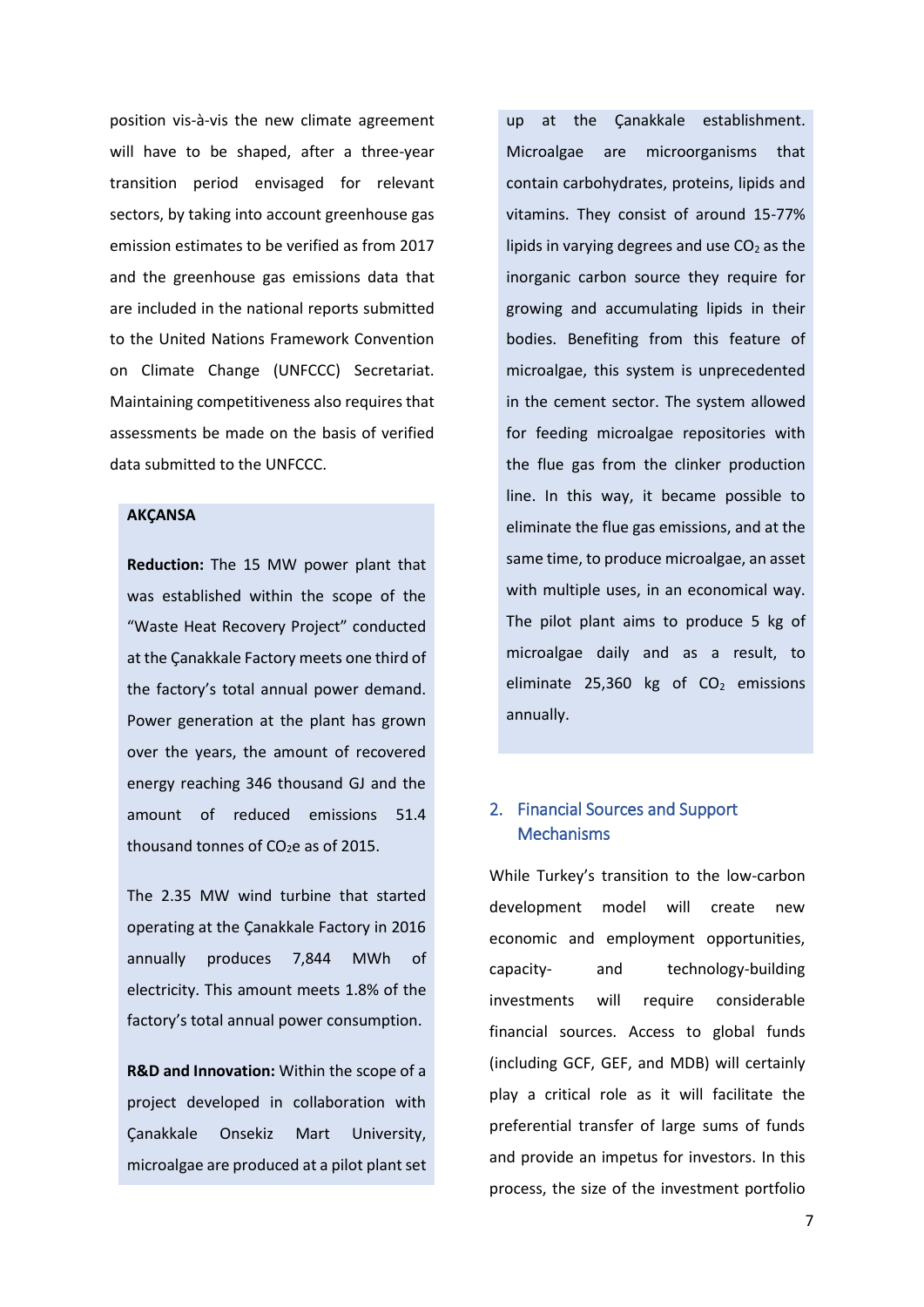position vis-à-vis the new climate agreement will have to be shaped, after a three-year transition period envisaged for relevant sectors, by taking into account greenhouse gas emission estimates to be verified as from 2017 and the greenhouse gas emissions data that are included in the national reports submitted to the United Nations Framework Convention on Climate Change (UNFCCC) Secretariat. Maintaining competitiveness also requires that assessments be made on the basis of verified data submitted to the UNFCCC.

#### **AKÇANSA**

**Reduction:** The 15 MW power plant that was established within the scope of the "Waste Heat Recovery Project" conducted at the Çanakkale Factory meets one third of the factory's total annual power demand. Power generation at the plant has grown over the years, the amount of recovered energy reaching 346 thousand GJ and the amount of reduced emissions 51.4 thousand tonnes of  $CO<sub>2</sub>e$  as of 2015.

The 2.35 MW wind turbine that started operating at the Çanakkale Factory in 2016 annually produces 7,844 MWh of electricity. This amount meets 1.8% of the factory's total annual power consumption.

**R&D and Innovation:** Within the scope of a project developed in collaboration with Çanakkale Onsekiz Mart University, microalgae are produced at a pilot plant set up at the Çanakkale establishment. Microalgae are microorganisms that contain carbohydrates, proteins, lipids and vitamins. They consist of around 15-77% lipids in varying degrees and use  $CO<sub>2</sub>$  as the inorganic carbon source they require for growing and accumulating lipids in their bodies. Benefiting from this feature of microalgae, this system is unprecedented in the cement sector. The system allowed for feeding microalgae repositories with the flue gas from the clinker production line. In this way, it became possible to eliminate the flue gas emissions, and at the same time, to produce microalgae, an asset with multiple uses, in an economical way. The pilot plant aims to produce 5 kg of microalgae daily and as a result, to eliminate 25,360 kg of  $CO<sub>2</sub>$  emissions annually.

# 2. Financial Sources and Support Mechanisms

While Turkey's transition to the low-carbon development model will create new economic and employment opportunities, capacity- and technology-building investments will require considerable financial sources. Access to global funds (including GCF, GEF, and MDB) will certainly play a critical role as it will facilitate the preferential transfer of large sums of funds and provide an impetus for investors. In this process, the size of the investment portfolio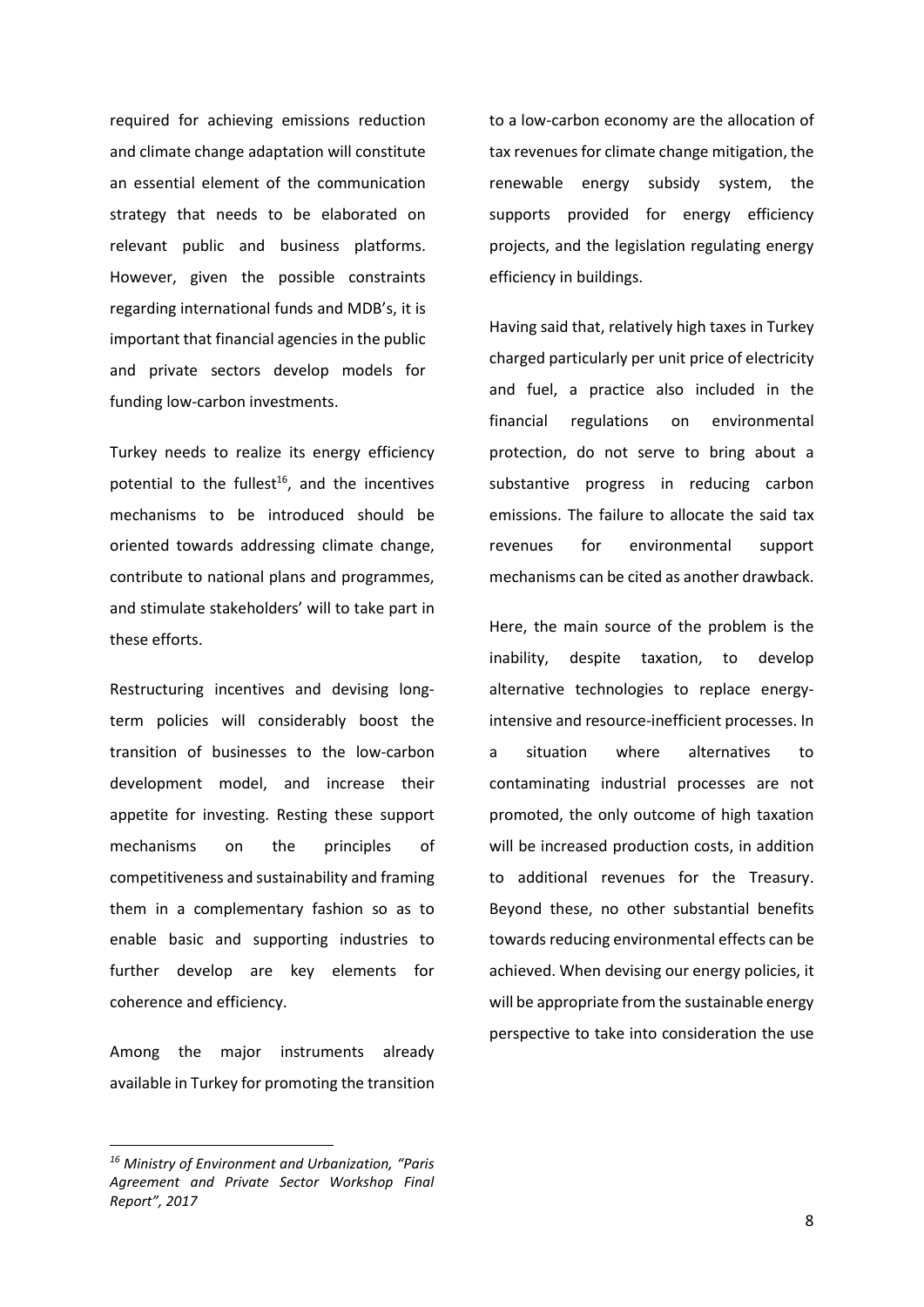required for achieving emissions reduction and climate change adaptation will constitute an essential element of the communication strategy that needs to be elaborated on relevant public and business platforms. However, given the possible constraints regarding international funds and MDB's, it is important that financial agencies in the public and private sectors develop models for funding low-carbon investments.

Turkey needs to realize its energy efficiency potential to the fullest<sup>16</sup>, and the incentives mechanisms to be introduced should be oriented towards addressing climate change, contribute to national plans and programmes, and stimulate stakeholders' will to take part in these efforts.

Restructuring incentives and devising longterm policies will considerably boost the transition of businesses to the low-carbon development model, and increase their appetite for investing. Resting these support mechanisms on the principles of competitiveness and sustainability and framing them in a complementary fashion so as to enable basic and supporting industries to further develop are key elements for coherence and efficiency.

Among the major instruments already available in Turkey for promoting the transition

*<sup>16</sup> Ministry of Environment and Urbanization, "Paris Agreement and Private Sector Workshop Final Report", 2017*

**.** 

to a low-carbon economy are the allocation of tax revenues for climate change mitigation, the renewable energy subsidy system, the supports provided for energy efficiency projects, and the legislation regulating energy efficiency in buildings.

Having said that, relatively high taxes in Turkey charged particularly per unit price of electricity and fuel, a practice also included in the financial regulations on environmental protection, do not serve to bring about a substantive progress in reducing carbon emissions. The failure to allocate the said tax revenues for environmental support mechanisms can be cited as another drawback.

Here, the main source of the problem is the inability, despite taxation, to develop alternative technologies to replace energyintensive and resource-inefficient processes. In a situation where alternatives to contaminating industrial processes are not promoted, the only outcome of high taxation will be increased production costs, in addition to additional revenues for the Treasury. Beyond these, no other substantial benefits towards reducing environmental effects can be achieved. When devising our energy policies, it will be appropriate from the sustainable energy perspective to take into consideration the use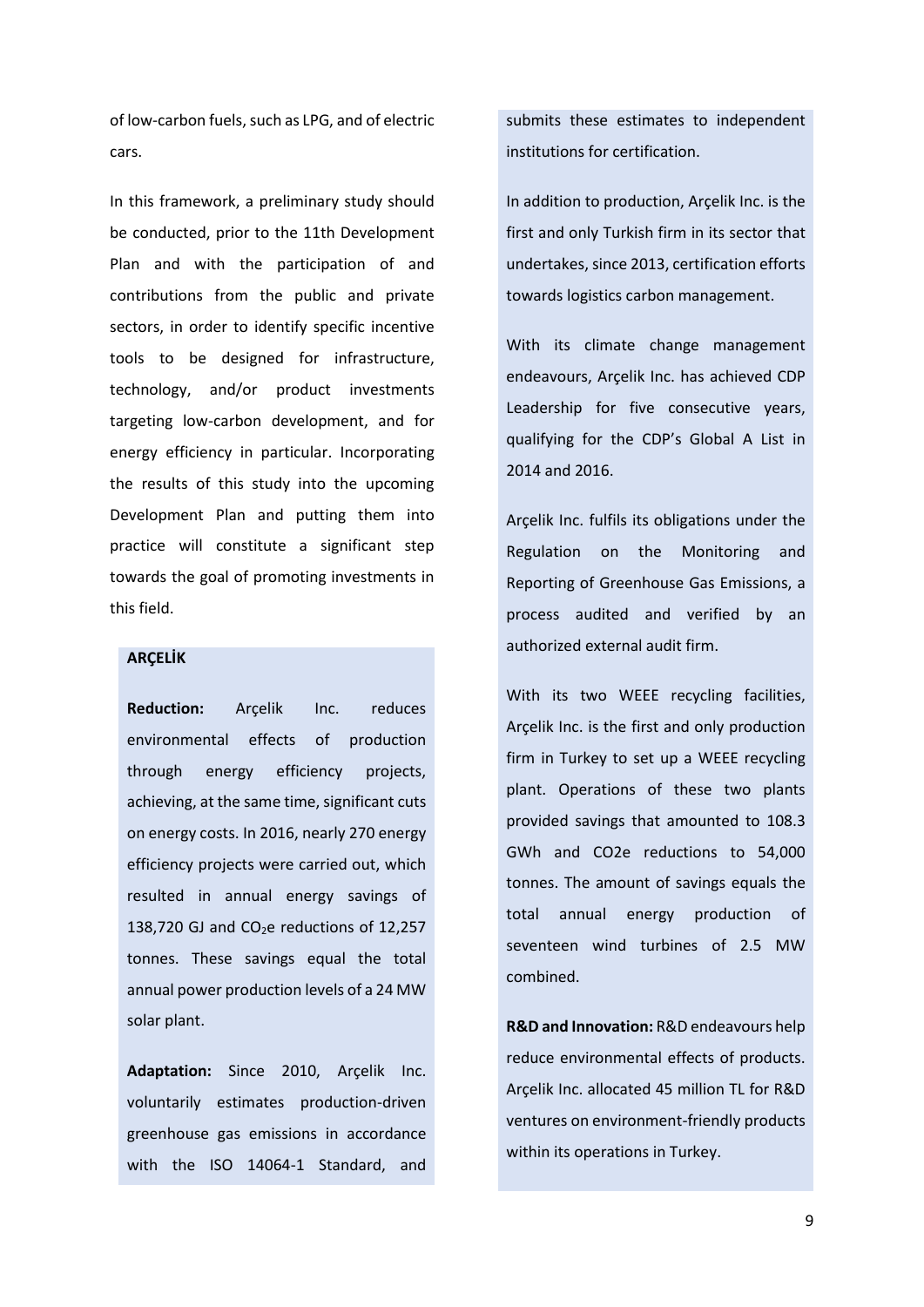of low-carbon fuels, such as LPG, and of electric cars.

In this framework, a preliminary study should be conducted, prior to the 11th Development Plan and with the participation of and contributions from the public and private sectors, in order to identify specific incentive tools to be designed for infrastructure, technology, and/or product investments targeting low-carbon development, and for energy efficiency in particular. Incorporating the results of this study into the upcoming Development Plan and putting them into practice will constitute a significant step towards the goal of promoting investments in this field.

### **ARÇELİK**

**Reduction:** Arçelik Inc. reduces environmental effects of production through energy efficiency projects, achieving, at the same time, significant cuts on energy costs. In 2016, nearly 270 energy efficiency projects were carried out, which resulted in annual energy savings of 138,720 GJ and  $CO<sub>2</sub>e$  reductions of 12,257 tonnes. These savings equal the total annual power production levels of a 24 MW solar plant.

**Adaptation:** Since 2010, Arçelik Inc. voluntarily estimates production-driven greenhouse gas emissions in accordance with the ISO 14064-1 Standard, and submits these estimates to independent institutions for certification.

In addition to production, Arçelik Inc. is the first and only Turkish firm in its sector that undertakes, since 2013, certification efforts towards logistics carbon management.

With its climate change management endeavours, Arçelik Inc. has achieved CDP Leadership for five consecutive years, qualifying for the CDP's Global A List in 2014 and 2016.

Arçelik Inc. fulfils its obligations under the Regulation on the Monitoring and Reporting of Greenhouse Gas Emissions, a process audited and verified by an authorized external audit firm.

With its two WEEE recycling facilities, Arçelik Inc. is the first and only production firm in Turkey to set up a WEEE recycling plant. Operations of these two plants provided savings that amounted to 108.3 GWh and CO2e reductions to 54,000 tonnes. The amount of savings equals the total annual energy production of seventeen wind turbines of 2.5 MW combined.

**R&D and Innovation:** R&D endeavours help reduce environmental effects of products. Arçelik Inc. allocated 45 million TL for R&D ventures on environment-friendly products within its operations in Turkey.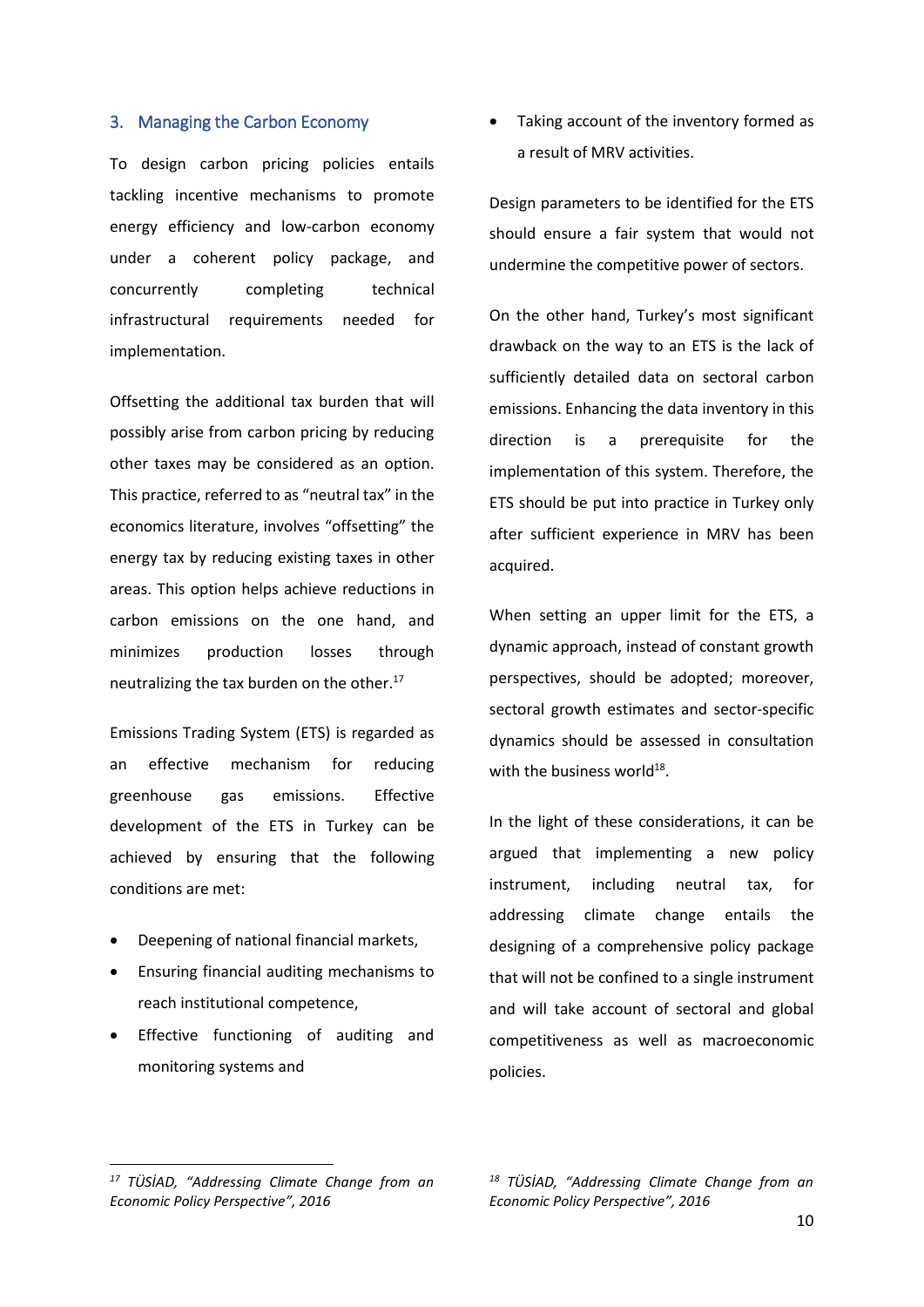#### 3. Managing the Carbon Economy

To design carbon pricing policies entails tackling incentive mechanisms to promote energy efficiency and low-carbon economy under a coherent policy package, and concurrently completing technical infrastructural requirements needed for implementation.

Offsetting the additional tax burden that will possibly arise from carbon pricing by reducing other taxes may be considered as an option. This practice, referred to as "neutral tax" in the economics literature, involves "offsetting" the energy tax by reducing existing taxes in other areas. This option helps achieve reductions in carbon emissions on the one hand, and minimizes production losses through neutralizing the tax burden on the other.<sup>17</sup>

Emissions Trading System (ETS) is regarded as an effective mechanism for reducing greenhouse gas emissions. Effective development of the ETS in Turkey can be achieved by ensuring that the following conditions are met:

- Deepening of national financial markets,
- Ensuring financial auditing mechanisms to reach institutional competence,
- Effective functioning of auditing and monitoring systems and

• Taking account of the inventory formed as a result of MRV activities.

Design parameters to be identified for the ETS should ensure a fair system that would not undermine the competitive power of sectors.

On the other hand, Turkey's most significant drawback on the way to an ETS is the lack of sufficiently detailed data on sectoral carbon emissions. Enhancing the data inventory in this direction is a prerequisite for the implementation of this system. Therefore, the ETS should be put into practice in Turkey only after sufficient experience in MRV has been acquired.

When setting an upper limit for the ETS, a dynamic approach, instead of constant growth perspectives, should be adopted; moreover, sectoral growth estimates and sector-specific dynamics should be assessed in consultation with the business world<sup>18</sup>.

In the light of these considerations, it can be argued that implementing a new policy instrument, including neutral tax, for addressing climate change entails the designing of a comprehensive policy package that will not be confined to a single instrument and will take account of sectoral and global competitiveness as well as macroeconomic policies.

**.** 

*<sup>17</sup> TÜSİAD, "Addressing Climate Change from an Economic Policy Perspective", 2016*

*<sup>18</sup> TÜSİAD, "Addressing Climate Change from an Economic Policy Perspective", 2016*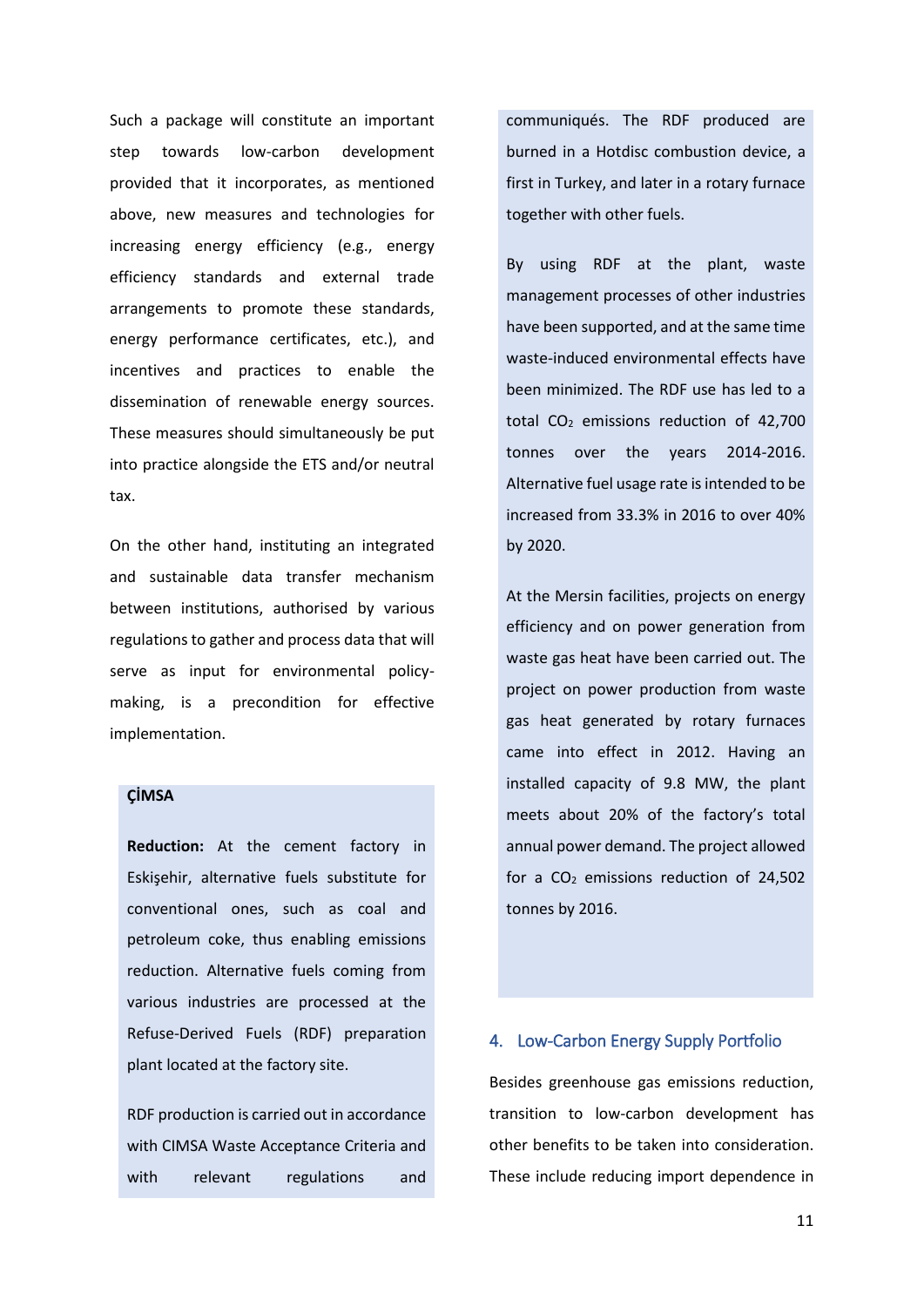Such a package will constitute an important step towards low-carbon development provided that it incorporates, as mentioned above, new measures and technologies for increasing energy efficiency (e.g., energy efficiency standards and external trade arrangements to promote these standards, energy performance certificates, etc.), and incentives and practices to enable the dissemination of renewable energy sources. These measures should simultaneously be put into practice alongside the ETS and/or neutral tax.

On the other hand, instituting an integrated and sustainable data transfer mechanism between institutions, authorised by various regulations to gather and process data that will serve as input for environmental policymaking, is a precondition for effective implementation.

# **ÇİMSA**

**Reduction:** At the cement factory in Eskişehir, alternative fuels substitute for conventional ones, such as coal and petroleum coke, thus enabling emissions reduction. Alternative fuels coming from various industries are processed at the Refuse-Derived Fuels (RDF) preparation plant located at the factory site.

RDF production is carried out in accordance with CIMSA Waste Acceptance Criteria and with relevant regulations and

communiqués. The RDF produced are burned in a Hotdisc combustion device, a first in Turkey, and later in a rotary furnace together with other fuels.

By using RDF at the plant, waste management processes of other industries have been supported, and at the same time waste-induced environmental effects have been minimized. The RDF use has led to a total  $CO<sub>2</sub>$  emissions reduction of 42,700 tonnes over the years 2014-2016. Alternative fuel usage rate is intended to be increased from 33.3% in 2016 to over 40% by 2020.

At the Mersin facilities, projects on energy efficiency and on power generation from waste gas heat have been carried out. The project on power production from waste gas heat generated by rotary furnaces came into effect in 2012. Having an installed capacity of 9.8 MW, the plant meets about 20% of the factory's total annual power demand. The project allowed for a  $CO<sub>2</sub>$  emissions reduction of 24,502 tonnes by 2016.

### 4. Low-Carbon Energy Supply Portfolio

Besides greenhouse gas emissions reduction, transition to low-carbon development has other benefits to be taken into consideration. These include reducing import dependence in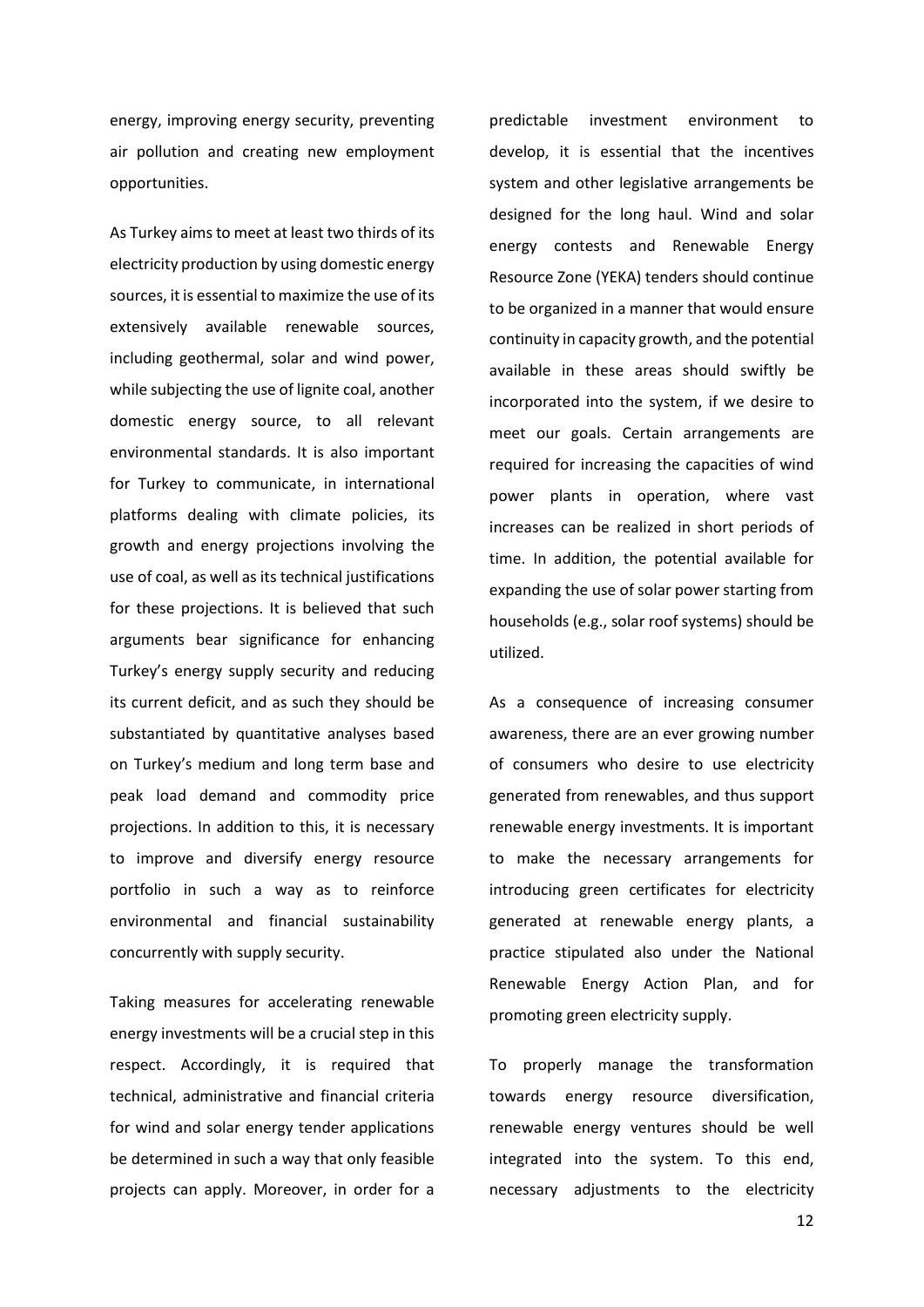energy, improving energy security, preventing air pollution and creating new employment opportunities.

As Turkey aims to meet at least two thirds of its electricity production by using domestic energy sources, it is essential to maximize the use of its extensively available renewable sources, including geothermal, solar and wind power, while subjecting the use of lignite coal, another domestic energy source, to all relevant environmental standards. It is also important for Turkey to communicate, in international platforms dealing with climate policies, its growth and energy projections involving the use of coal, as well as its technical justifications for these projections. It is believed that such arguments bear significance for enhancing Turkey's energy supply security and reducing its current deficit, and as such they should be substantiated by quantitative analyses based on Turkey's medium and long term base and peak load demand and commodity price projections. In addition to this, it is necessary to improve and diversify energy resource portfolio in such a way as to reinforce environmental and financial sustainability concurrently with supply security.

Taking measures for accelerating renewable energy investments will be a crucial step in this respect. Accordingly, it is required that technical, administrative and financial criteria for wind and solar energy tender applications be determined in such a way that only feasible projects can apply. Moreover, in order for a predictable investment environment to develop, it is essential that the incentives system and other legislative arrangements be designed for the long haul. Wind and solar energy contests and Renewable Energy Resource Zone (YEKA) tenders should continue to be organized in a manner that would ensure continuity in capacity growth, and the potential available in these areas should swiftly be incorporated into the system, if we desire to meet our goals. Certain arrangements are required for increasing the capacities of wind power plants in operation, where vast increases can be realized in short periods of time. In addition, the potential available for expanding the use of solar power starting from households (e.g., solar roof systems) should be utilized.

As a consequence of increasing consumer awareness, there are an ever growing number of consumers who desire to use electricity generated from renewables, and thus support renewable energy investments. It is important to make the necessary arrangements for introducing green certificates for electricity generated at renewable energy plants, a practice stipulated also under the National Renewable Energy Action Plan, and for promoting green electricity supply.

To properly manage the transformation towards energy resource diversification, renewable energy ventures should be well integrated into the system. To this end, necessary adjustments to the electricity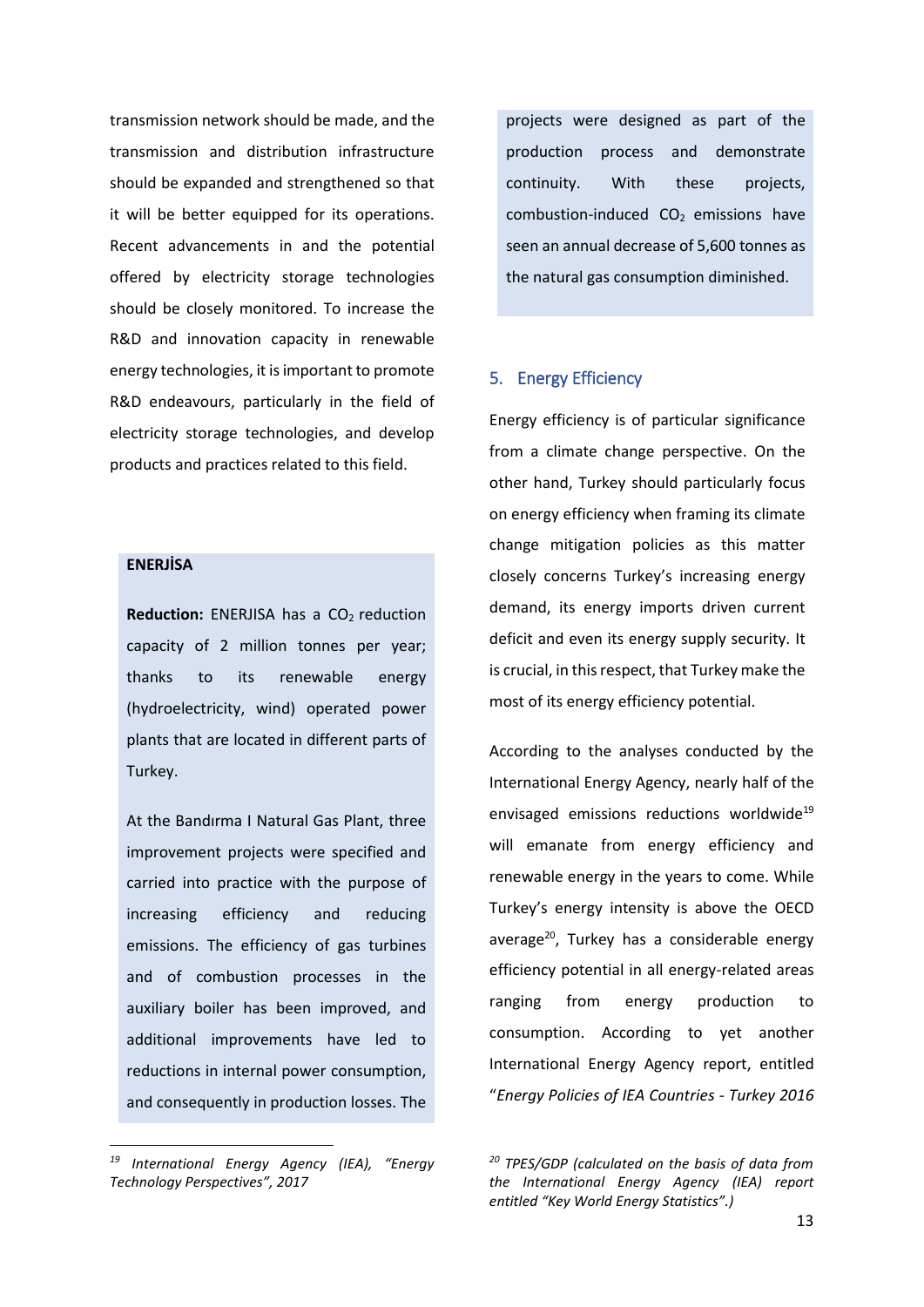transmission network should be made, and the transmission and distribution infrastructure should be expanded and strengthened so that it will be better equipped for its operations. Recent advancements in and the potential offered by electricity storage technologies should be closely monitored. To increase the R&D and innovation capacity in renewable energy technologies, it is important to promote R&D endeavours, particularly in the field of electricity storage technologies, and develop products and practices related to this field.

## **ENERJİSA**

**.** 

**Reduction:** ENERJISA has a CO<sub>2</sub> reduction capacity of 2 million tonnes per year; thanks to its renewable energy (hydroelectricity, wind) operated power plants that are located in different parts of Turkey.

At the Bandırma I Natural Gas Plant, three improvement projects were specified and carried into practice with the purpose of increasing efficiency and reducing emissions. The efficiency of gas turbines and of combustion processes in the auxiliary boiler has been improved, and additional improvements have led to reductions in internal power consumption, and consequently in production losses. The projects were designed as part of the production process and demonstrate continuity. With these projects, combustion-induced  $CO<sub>2</sub>$  emissions have seen an annual decrease of 5,600 tonnes as the natural gas consumption diminished.

#### 5. Energy Efficiency

Energy efficiency is of particular significance from a climate change perspective. On the other hand, Turkey should particularly focus on energy efficiency when framing its climate change mitigation policies as this matter closely concerns Turkey's increasing energy demand, its energy imports driven current deficit and even its energy supply security. It is crucial, in this respect, that Turkey make the most of its energy efficiency potential.

According to the analyses conducted by the International Energy Agency, nearly half of the envisaged emissions reductions worldwide<sup>19</sup> will emanate from energy efficiency and renewable energy in the years to come. While Turkey's energy intensity is above the OECD average<sup>20</sup>, Turkey has a considerable energy efficiency potential in all energy-related areas ranging from energy production to consumption. According to yet another International Energy Agency report, entitled "*Energy Policies of IEA Countries - Turkey 2016* 

*<sup>19</sup> International Energy Agency (IEA), "Energy Technology Perspectives", 2017*

*<sup>20</sup> TPES/GDP (calculated on the basis of data from the International Energy Agency (IEA) report entitled "Key World Energy Statistics".)*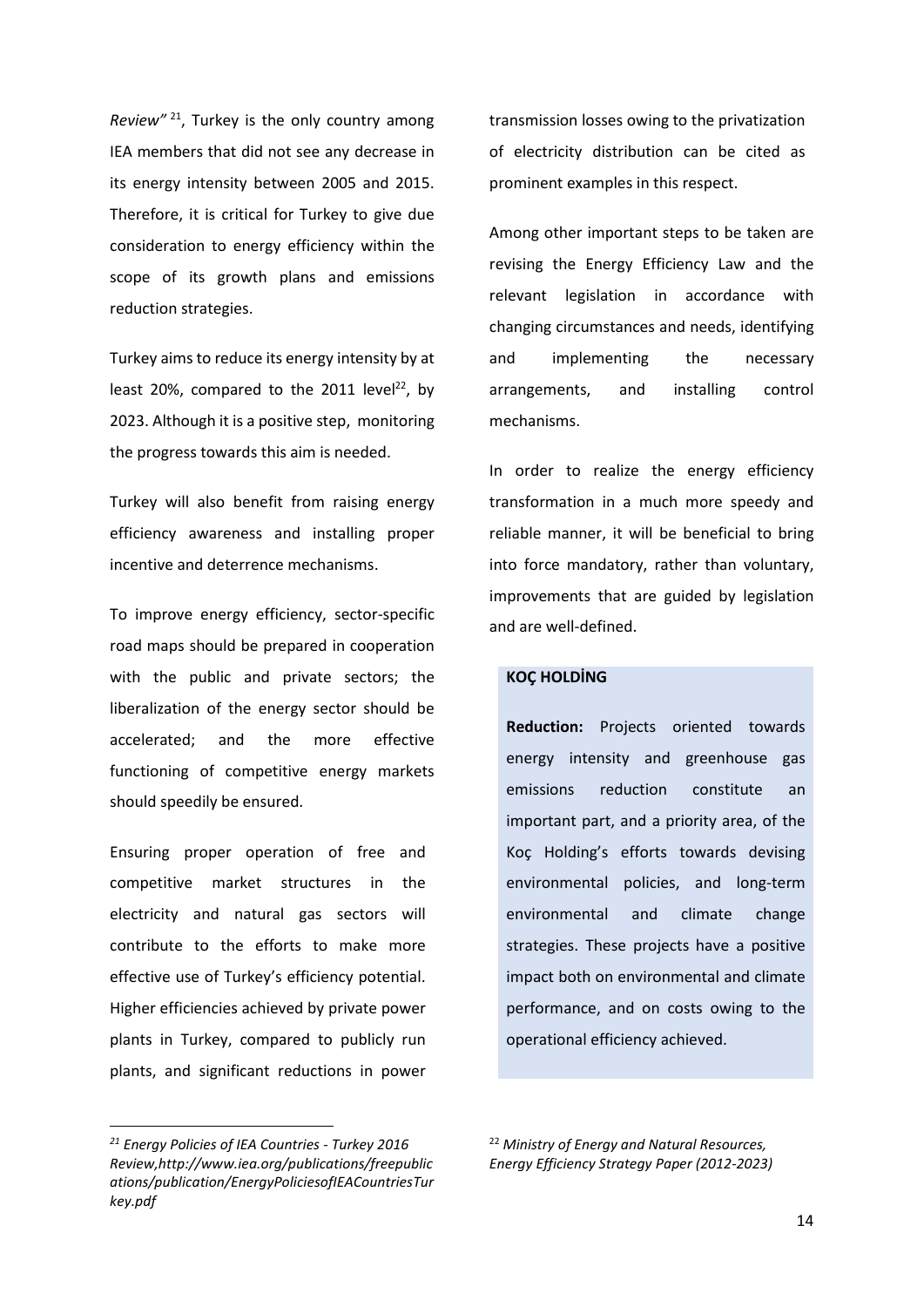*Review"* <sup>21</sup>, Turkey is the only country among IEA members that did not see any decrease in its energy intensity between 2005 and 2015. Therefore, it is critical for Turkey to give due consideration to energy efficiency within the scope of its growth plans and emissions reduction strategies.

Turkey aims to reduce its energy intensity by at least 20%, compared to the 2011 level<sup>22</sup>, by 2023. Although it is a positive step, monitoring the progress towards this aim is needed.

Turkey will also benefit from raising energy efficiency awareness and installing proper incentive and deterrence mechanisms.

To improve energy efficiency, sector-specific road maps should be prepared in cooperation with the public and private sectors; the liberalization of the energy sector should be accelerated; and the more effective functioning of competitive energy markets should speedily be ensured.

Ensuring proper operation of free and competitive market structures in the electricity and natural gas sectors will contribute to the efforts to make more effective use of Turkey's efficiency potential. Higher efficiencies achieved by private power plants in Turkey, compared to publicly run plants, and significant reductions in power

1

transmission losses owing to the privatization of electricity distribution can be cited as prominent examples in this respect.

Among other important steps to be taken are revising the Energy Efficiency Law and the relevant legislation in accordance with changing circumstances and needs, identifying and implementing the necessary arrangements, and installing control mechanisms.

In order to realize the energy efficiency transformation in a much more speedy and reliable manner, it will be beneficial to bring into force mandatory, rather than voluntary, improvements that are guided by legislation and are well-defined.

# **KOÇ HOLDİNG**

**Reduction:** Projects oriented towards energy intensity and greenhouse gas emissions reduction constitute an important part, and a priority area, of the Koç Holding's efforts towards devising environmental policies, and long-term environmental and climate change strategies. These projects have a positive impact both on environmental and climate performance, and on costs owing to the operational efficiency achieved.

<sup>22</sup> *Ministry of Energy and Natural Resources, Energy Efficiency Strategy Paper (2012-2023)*

*<sup>21</sup> Energy Policies of IEA Countries - Turkey 2016 Review,http://www.iea.org/publications/freepublic ations/publication/EnergyPoliciesofIEACountriesTur key.pdf*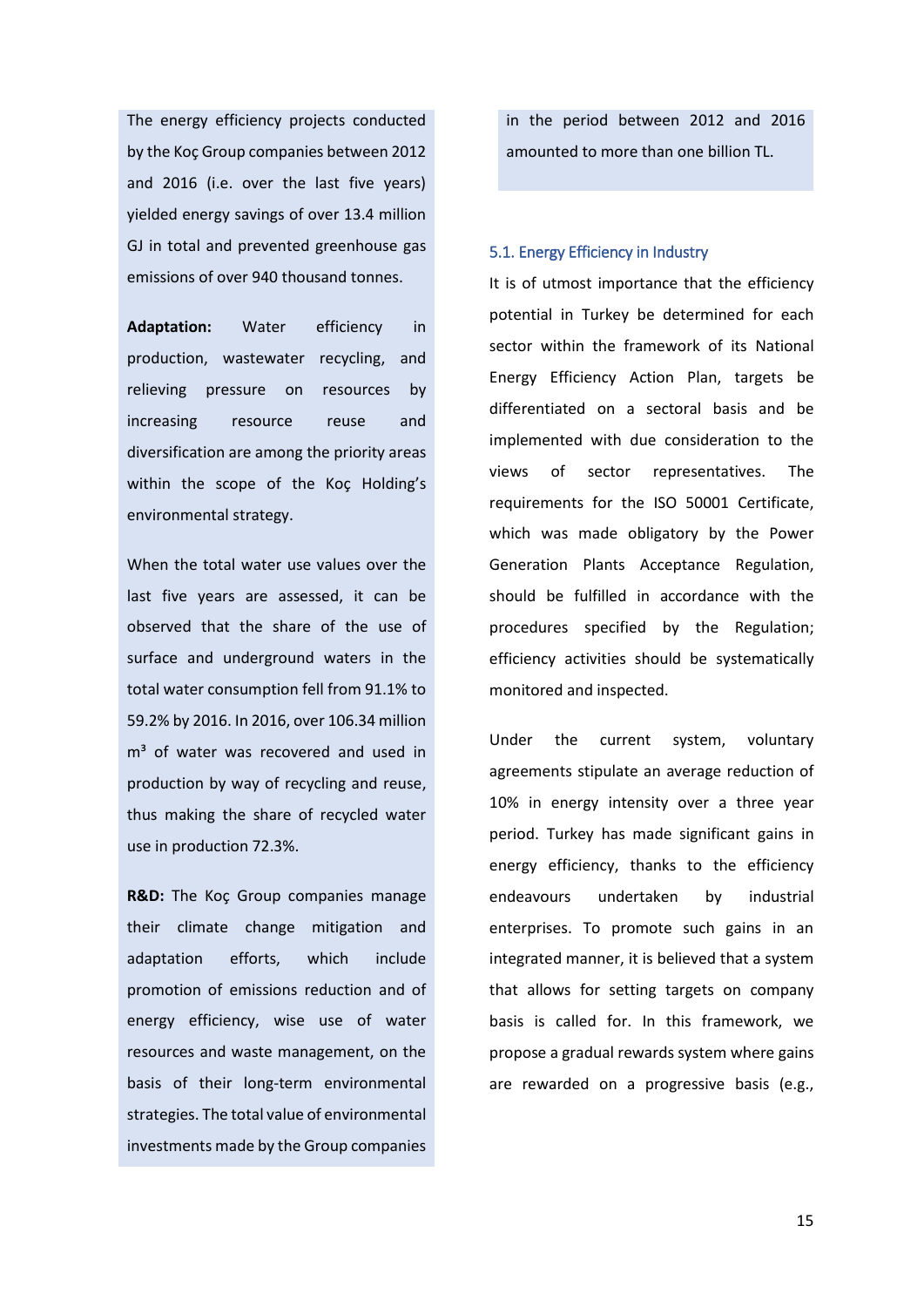The energy efficiency projects conducted by the Koç Group companies between 2012 and 2016 (i.e. over the last five years) yielded energy savings of over 13.4 million GJ in total and prevented greenhouse gas emissions of over 940 thousand tonnes.

**Adaptation:** Water efficiency in production, wastewater recycling, and relieving pressure on resources by increasing resource reuse and diversification are among the priority areas within the scope of the Koç Holding's environmental strategy.

When the total water use values over the last five years are assessed, it can be observed that the share of the use of surface and underground waters in the total water consumption fell from 91.1% to 59.2% by 2016. In 2016, over 106.34 million  $m<sup>3</sup>$  of water was recovered and used in production by way of recycling and reuse, thus making the share of recycled water use in production 72.3%.

**R&D:** The Koç Group companies manage their climate change mitigation and adaptation efforts, which include promotion of emissions reduction and of energy efficiency, wise use of water resources and waste management, on the basis of their long-term environmental strategies. The total value of environmental investments made by the Group companies

in the period between 2012 and 2016 amounted to more than one billion TL.

#### 5.1. Energy Efficiency in Industry

It is of utmost importance that the efficiency potential in Turkey be determined for each sector within the framework of its National Energy Efficiency Action Plan, targets be differentiated on a sectoral basis and be implemented with due consideration to the views of sector representatives. The requirements for the ISO 50001 Certificate, which was made obligatory by the Power Generation Plants Acceptance Regulation, should be fulfilled in accordance with the procedures specified by the Regulation; efficiency activities should be systematically monitored and inspected.

Under the current system, voluntary agreements stipulate an average reduction of 10% in energy intensity over a three year period. Turkey has made significant gains in energy efficiency, thanks to the efficiency endeavours undertaken by industrial enterprises. To promote such gains in an integrated manner, it is believed that a system that allows for setting targets on company basis is called for. In this framework, we propose a gradual rewards system where gains are rewarded on a progressive basis (e.g.,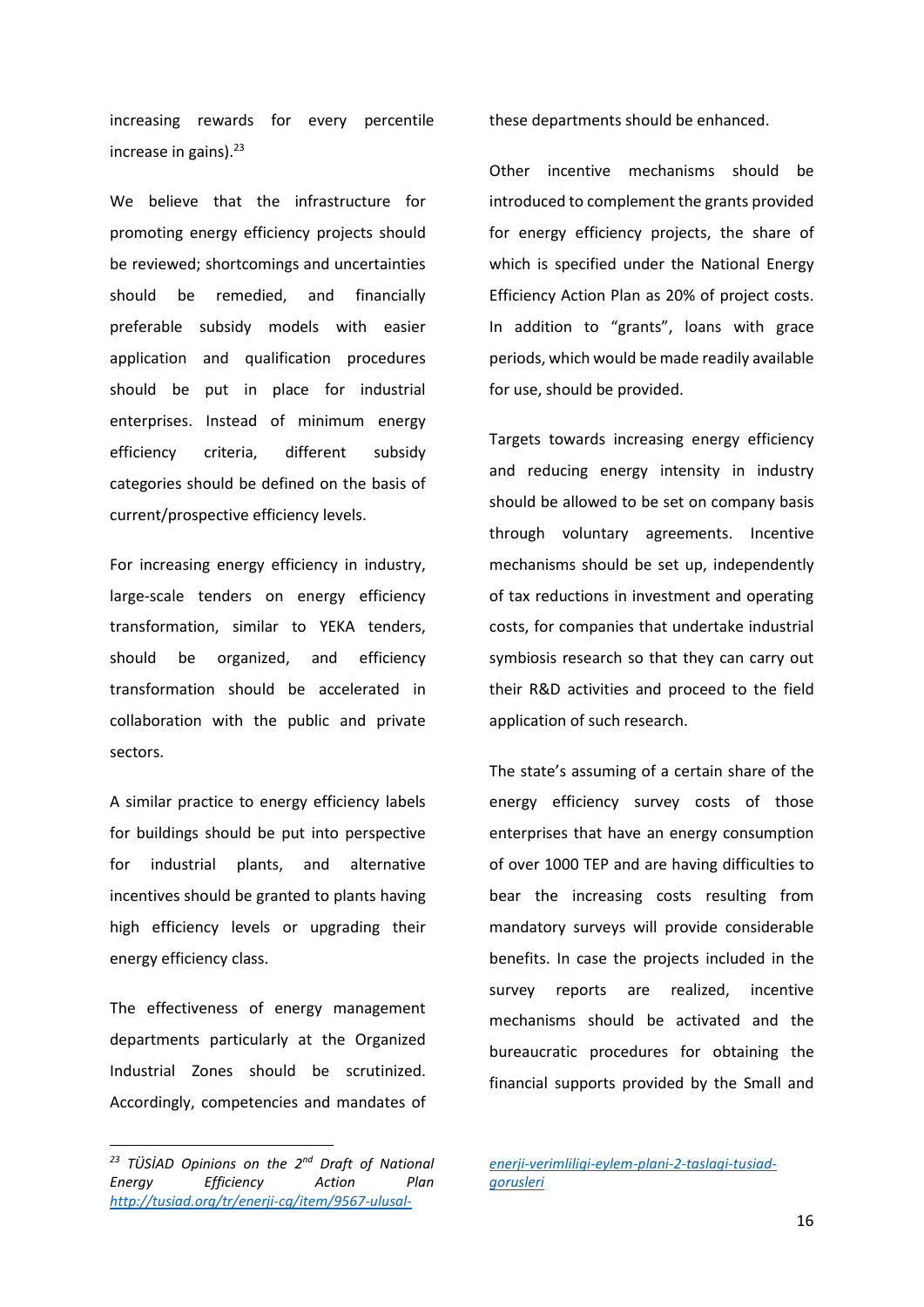increasing rewards for every percentile increase in gains). $23$ 

We believe that the infrastructure for promoting energy efficiency projects should be reviewed; shortcomings and uncertainties should be remedied, and financially preferable subsidy models with easier application and qualification procedures should be put in place for industrial enterprises. Instead of minimum energy efficiency criteria, different subsidy categories should be defined on the basis of current/prospective efficiency levels.

For increasing energy efficiency in industry, large-scale tenders on energy efficiency transformation, similar to YEKA tenders, should be organized, and efficiency transformation should be accelerated in collaboration with the public and private sectors.

A similar practice to energy efficiency labels for buildings should be put into perspective for industrial plants, and alternative incentives should be granted to plants having high efficiency levels or upgrading their energy efficiency class.

The effectiveness of energy management departments particularly at the Organized Industrial Zones should be scrutinized. Accordingly, competencies and mandates of

**.** 

these departments should be enhanced.

Other incentive mechanisms should be introduced to complement the grants provided for energy efficiency projects, the share of which is specified under the National Energy Efficiency Action Plan as 20% of project costs. In addition to "grants", loans with grace periods, which would be made readily available for use, should be provided.

Targets towards increasing energy efficiency and reducing energy intensity in industry should be allowed to be set on company basis through voluntary agreements. Incentive mechanisms should be set up, independently of tax reductions in investment and operating costs, for companies that undertake industrial symbiosis research so that they can carry out their R&D activities and proceed to the field application of such research.

The state's assuming of a certain share of the energy efficiency survey costs of those enterprises that have an energy consumption of over 1000 TEP and are having difficulties to bear the increasing costs resulting from mandatory surveys will provide considerable benefits. In case the projects included in the survey reports are realized, incentive mechanisms should be activated and the bureaucratic procedures for obtaining the financial supports provided by the Small and

*<sup>23</sup> TÜSİAD Opinions on the 2nd Draft of National Energy Efficiency Action Plan [http://tusiad.org/tr/enerji-cg/item/9567-ulusal-](http://tusiad.org/tr/enerji-cg/item/9567-ulusal-enerji-verimliligi-eylem-plani-2-taslagi-tusiad-gorusleri)*

*[enerji-verimliligi-eylem-plani-2-taslagi-tusiad](http://tusiad.org/tr/enerji-cg/item/9567-ulusal-enerji-verimliligi-eylem-plani-2-taslagi-tusiad-gorusleri)[gorusleri](http://tusiad.org/tr/enerji-cg/item/9567-ulusal-enerji-verimliligi-eylem-plani-2-taslagi-tusiad-gorusleri)*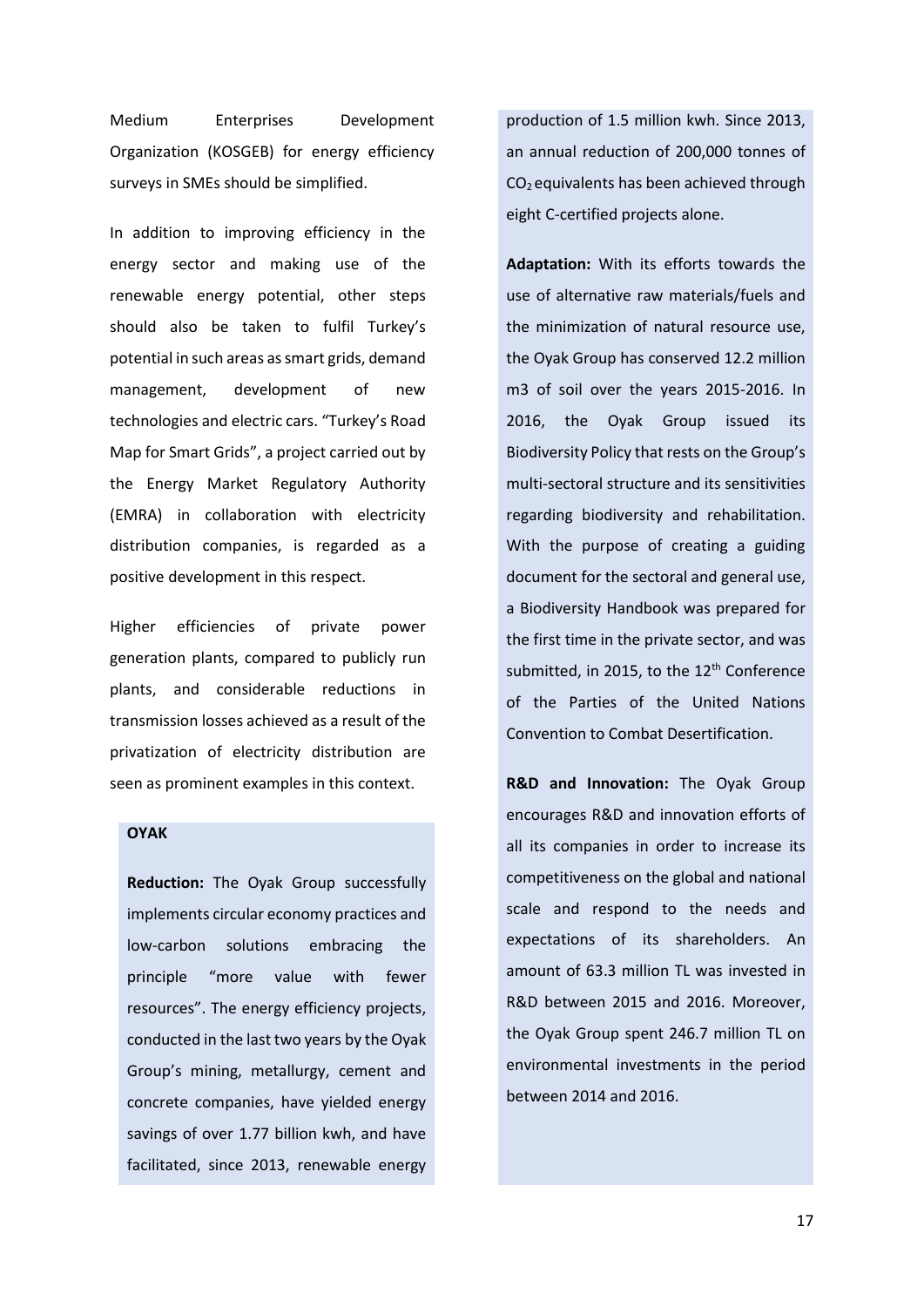Medium Enterprises Development Organization (KOSGEB) for energy efficiency surveys in SMEs should be simplified.

In addition to improving efficiency in the energy sector and making use of the renewable energy potential, other steps should also be taken to fulfil Turkey's potential in such areas as smart grids, demand management, development of new technologies and electric cars. "Turkey's Road Map for Smart Grids", a project carried out by the Energy Market Regulatory Authority (EMRA) in collaboration with electricity distribution companies, is regarded as a positive development in this respect.

Higher efficiencies of private power generation plants, compared to publicly run plants, and considerable reductions in transmission losses achieved as a result of the privatization of electricity distribution are seen as prominent examples in this context.

# **OYAK**

**Reduction:** The Oyak Group successfully implements circular economy practices and low-carbon solutions embracing the principle "more value with fewer resources". The energy efficiency projects, conducted in the last two years by the Oyak Group's mining, metallurgy, cement and concrete companies, have yielded energy savings of over 1.77 billion kwh, and have facilitated, since 2013, renewable energy

production of 1.5 million kwh. Since 2013, an annual reduction of 200,000 tonnes of  $CO<sub>2</sub>$  equivalents has been achieved through eight C-certified projects alone.

**Adaptation:** With its efforts towards the use of alternative raw materials/fuels and the minimization of natural resource use, the Oyak Group has conserved 12.2 million m3 of soil over the years 2015-2016. In 2016, the Oyak Group issued its Biodiversity Policy that rests on the Group's multi-sectoral structure and its sensitivities regarding biodiversity and rehabilitation. With the purpose of creating a guiding document for the sectoral and general use, a Biodiversity Handbook was prepared for the first time in the private sector, and was submitted, in 2015, to the  $12<sup>th</sup>$  Conference of the Parties of the United Nations Convention to Combat Desertification.

**R&D and Innovation:** The Oyak Group encourages R&D and innovation efforts of all its companies in order to increase its competitiveness on the global and national scale and respond to the needs and expectations of its shareholders. An amount of 63.3 million TL was invested in R&D between 2015 and 2016. Moreover, the Oyak Group spent 246.7 million TL on environmental investments in the period between 2014 and 2016.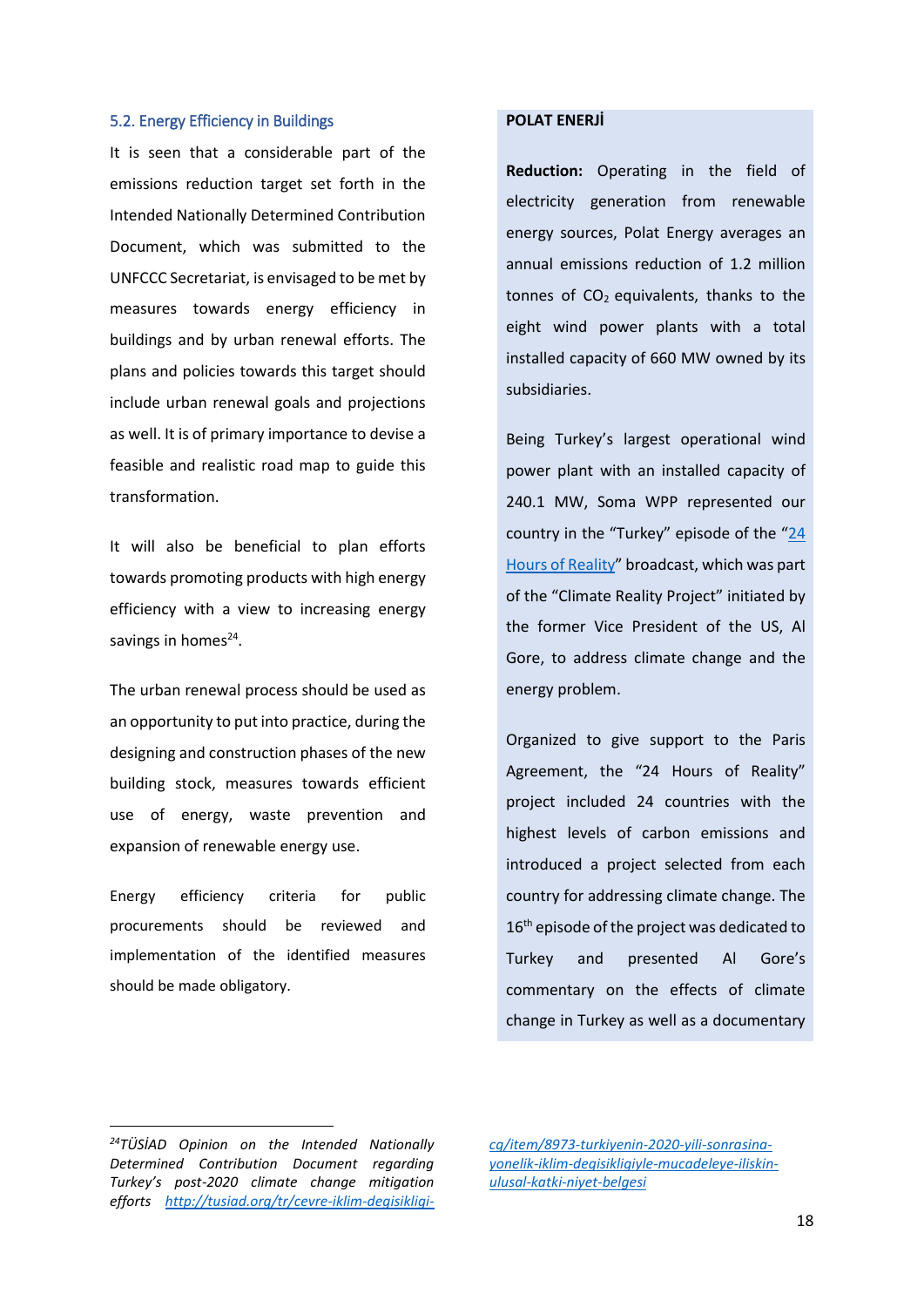#### 5.2. Energy Efficiency in Buildings

It is seen that a considerable part of the emissions reduction target set forth in the Intended Nationally Determined Contribution Document, which was submitted to the UNFCCC Secretariat, is envisaged to be met by measures towards energy efficiency in buildings and by urban renewal efforts. The plans and policies towards this target should include urban renewal goals and projections as well. It is of primary importance to devise a feasible and realistic road map to guide this transformation.

It will also be beneficial to plan efforts towards promoting products with high energy efficiency with a view to increasing energy savings in homes<sup>24</sup>.

The urban renewal process should be used as an opportunity to put into practice, during the designing and construction phases of the new building stock, measures towards efficient use of energy, waste prevention and expansion of renewable energy use.

Energy efficiency criteria for public procurements should be reviewed and implementation of the identified measures should be made obligatory.

# **POLAT ENERJİ**

**Reduction:** Operating in the field of electricity generation from renewable energy sources, Polat Energy averages an annual emissions reduction of 1.2 million tonnes of  $CO<sub>2</sub>$  equivalents, thanks to the eight wind power plants with a total installed capacity of 660 MW owned by its subsidiaries.

Being Turkey's largest operational wind power plant with an installed capacity of 240.1 MW, Soma WPP represented our country in the "Turkey" episode of the "24 [Hours of Reality](https://www.24hoursofreality.org/)" broadcast, which was part of the "Climate Reality Project" initiated by the former Vice President of the US, Al Gore, to address climate change and the energy problem.

Organized to give support to the Paris Agreement, the "24 Hours of Reality" project included 24 countries with the highest levels of carbon emissions and introduced a project selected from each country for addressing climate change. The 16<sup>th</sup> episode of the project was dedicated to Turkey and presented Al Gore's commentary on the effects of climate change in Turkey as well as a documentary

1

*[cg/item/8973-turkiyenin-2020-yili-sonrasina](http://tusiad.org/tr/cevre-iklim-degisikligi-cg/item/8973-turkiyenin-2020-yili-sonrasina-yonelik-iklim-degisikligiyle-mucadeleye-iliskin-ulusal-katki-niyet-belgesi)[yonelik-iklim-degisikligiyle-mucadeleye-iliskin](http://tusiad.org/tr/cevre-iklim-degisikligi-cg/item/8973-turkiyenin-2020-yili-sonrasina-yonelik-iklim-degisikligiyle-mucadeleye-iliskin-ulusal-katki-niyet-belgesi)[ulusal-katki-niyet-belgesi](http://tusiad.org/tr/cevre-iklim-degisikligi-cg/item/8973-turkiyenin-2020-yili-sonrasina-yonelik-iklim-degisikligiyle-mucadeleye-iliskin-ulusal-katki-niyet-belgesi)*

*<sup>24</sup>TÜSİAD Opinion on the Intended Nationally Determined Contribution Document regarding Turkey's post-2020 climate change mitigation efforts [http://tusiad.org/tr/cevre-iklim-degisikligi-](http://tusiad.org/tr/cevre-iklim-degisikligi-cg/item/8973-turkiyenin-2020-yili-sonrasina-yonelik-iklim-degisikligiyle-mucadeleye-iliskin-ulusal-katki-niyet-belgesi)*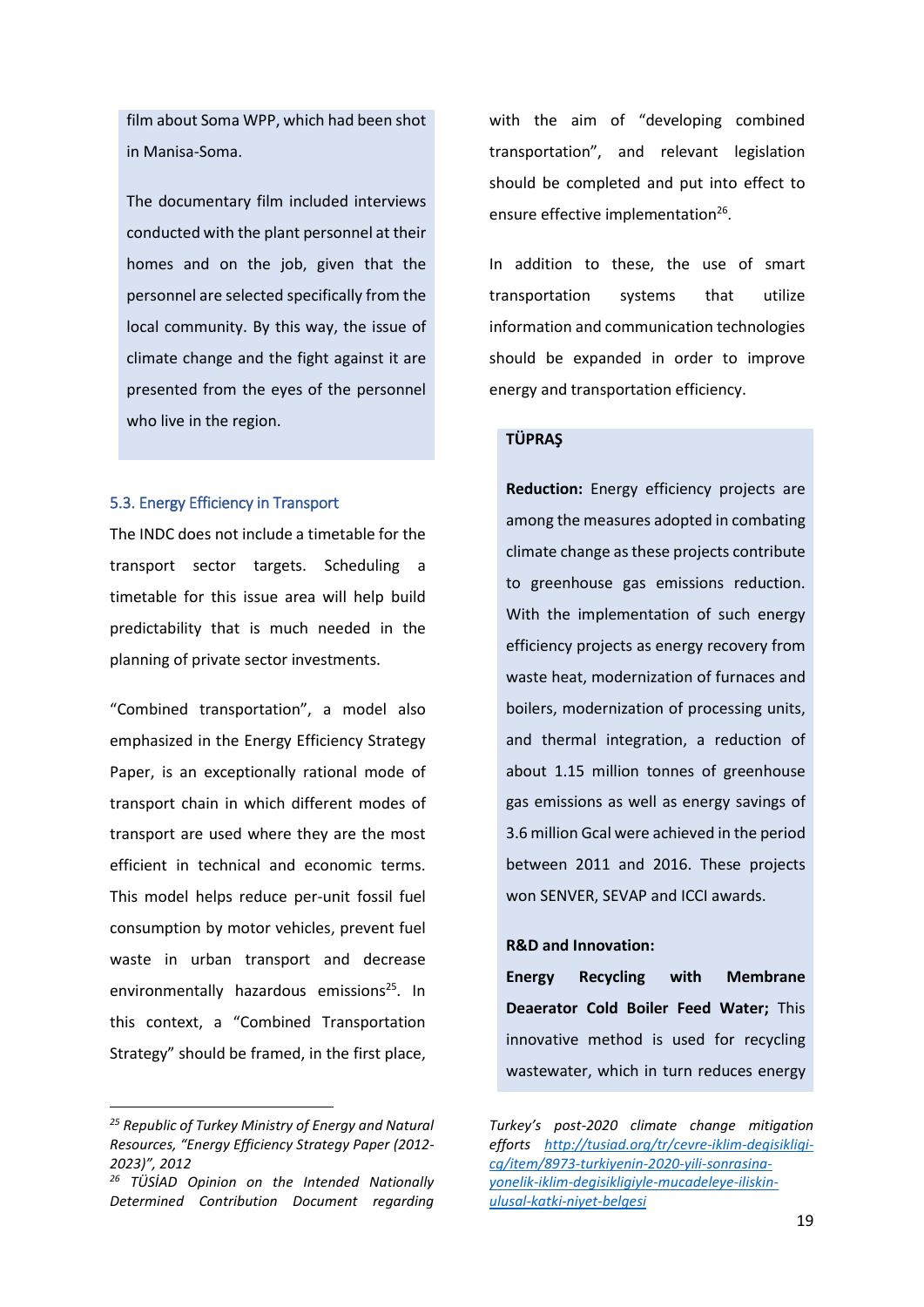film about Soma WPP, which had been shot in Manisa-Soma.

The documentary film included interviews conducted with the plant personnel at their homes and on the job, given that the personnel are selected specifically from the local community. By this way, the issue of climate change and the fight against it are presented from the eyes of the personnel who live in the region.

### 5.3. Energy Efficiency in Transport

The INDC does not include a timetable for the transport sector targets. Scheduling a timetable for this issue area will help build predictability that is much needed in the planning of private sector investments.

"Combined transportation", a model also emphasized in the Energy Efficiency Strategy Paper, is an exceptionally rational mode of transport chain in which different modes of transport are used where they are the most efficient in technical and economic terms. This model helps reduce per-unit fossil fuel consumption by motor vehicles, prevent fuel waste in urban transport and decrease environmentally hazardous emissions<sup>25</sup>. In this context, a "Combined Transportation Strategy" should be framed, in the first place,

**.** 

with the aim of "developing combined transportation", and relevant legislation should be completed and put into effect to ensure effective implementation<sup>26</sup>.

In addition to these, the use of smart transportation systems that utilize information and communication technologies should be expanded in order to improve energy and transportation efficiency.

# **TÜPRAŞ**

**Reduction:** Energy efficiency projects are among the measures adopted in combating climate change as these projects contribute to greenhouse gas emissions reduction. With the implementation of such energy efficiency projects as energy recovery from waste heat, modernization of furnaces and boilers, modernization of processing units, and thermal integration, a reduction of about 1.15 million tonnes of greenhouse gas emissions as well as energy savings of 3.6 million Gcal were achieved in the period between 2011 and 2016. These projects won SENVER, SEVAP and ICCI awards.

#### **R&D and Innovation:**

**Energy Recycling with Membrane Deaerator Cold Boiler Feed Water;** This innovative method is used for recycling wastewater, which in turn reduces energy

*<sup>25</sup> Republic of Turkey Ministry of Energy and Natural Resources, "Energy Efficiency Strategy Paper (2012- 2023)", 2012*

*<sup>26</sup> TÜSİAD Opinion on the Intended Nationally Determined Contribution Document regarding* 

*Turkey's post-2020 climate change mitigation efforts [http://tusiad.org/tr/cevre-iklim-degisikligi](http://tusiad.org/tr/cevre-iklim-degisikligi-cg/item/8973-turkiyenin-2020-yili-sonrasina-yonelik-iklim-degisikligiyle-mucadeleye-iliskin-ulusal-katki-niyet-belgesi)[cg/item/8973-turkiyenin-2020-yili-sonrasina](http://tusiad.org/tr/cevre-iklim-degisikligi-cg/item/8973-turkiyenin-2020-yili-sonrasina-yonelik-iklim-degisikligiyle-mucadeleye-iliskin-ulusal-katki-niyet-belgesi)[yonelik-iklim-degisikligiyle-mucadeleye-iliskin](http://tusiad.org/tr/cevre-iklim-degisikligi-cg/item/8973-turkiyenin-2020-yili-sonrasina-yonelik-iklim-degisikligiyle-mucadeleye-iliskin-ulusal-katki-niyet-belgesi)[ulusal-katki-niyet-belgesi](http://tusiad.org/tr/cevre-iklim-degisikligi-cg/item/8973-turkiyenin-2020-yili-sonrasina-yonelik-iklim-degisikligiyle-mucadeleye-iliskin-ulusal-katki-niyet-belgesi)*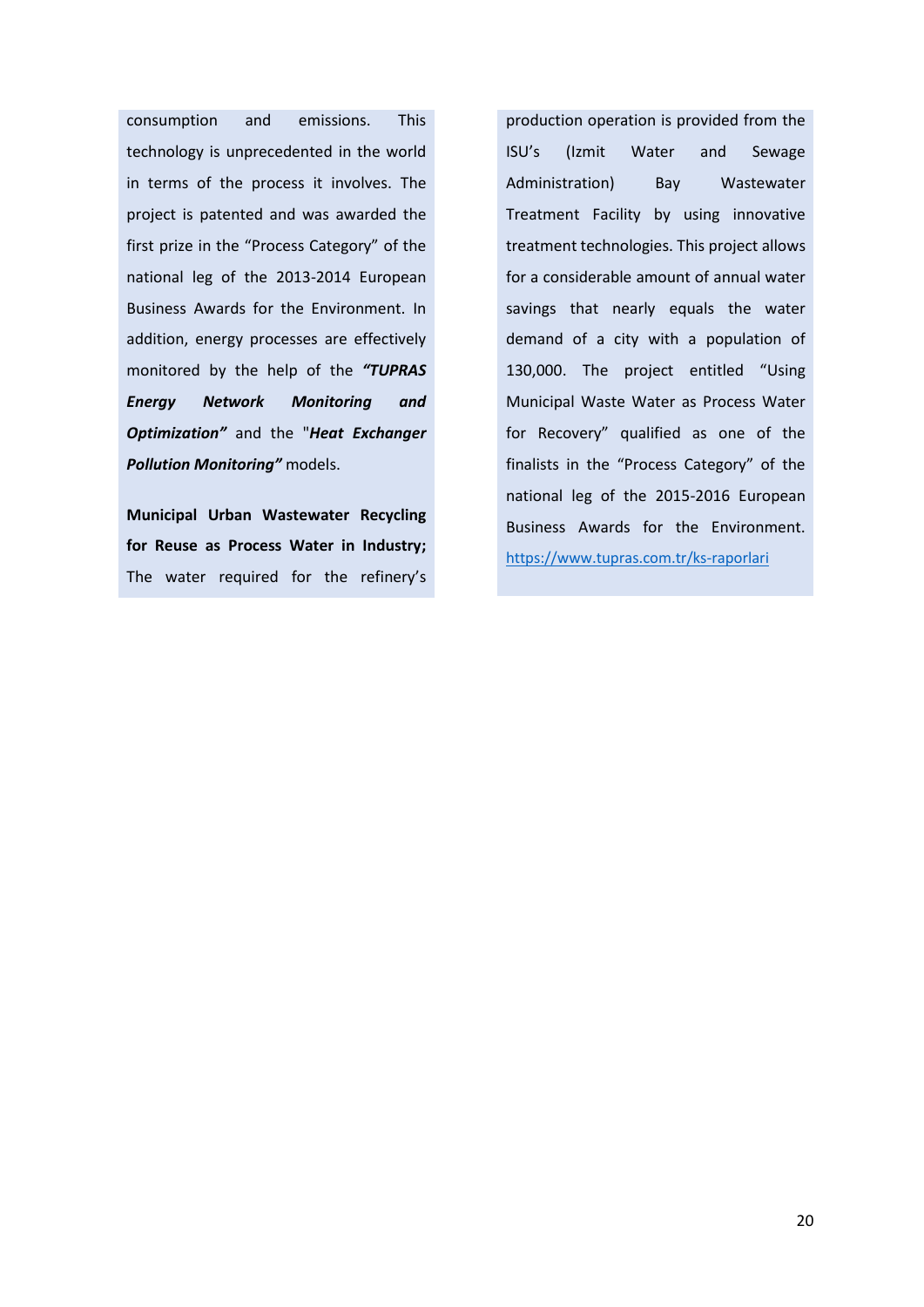consumption and emissions. This technology is unprecedented in the world in terms of the process it involves. The project is patented and was awarded the first prize in the "Process Category" of the national leg of the 2013-2014 European Business Awards for the Environment. In addition, energy processes are effectively monitored by the help of the *"TUPRAS Energy Network Monitoring and Optimization"* and the "*Heat Exchanger Pollution Monitoring"* models.

**Municipal Urban Wastewater Recycling for Reuse as Process Water in Industry;** The water required for the refinery's

production operation is provided from the ISU's (Izmit Water and Sewage Administration) Bay Wastewater Treatment Facility by using innovative treatment technologies. This project allows for a considerable amount of annual water savings that nearly equals the water demand of a city with a population of 130,000. The project entitled "Using Municipal Waste Water as Process Water for Recovery" qualified as one of the finalists in the "Process Category" of the national leg of the 2015-2016 European Business Awards for the Environment. <https://www.tupras.com.tr/ks-raporlari>